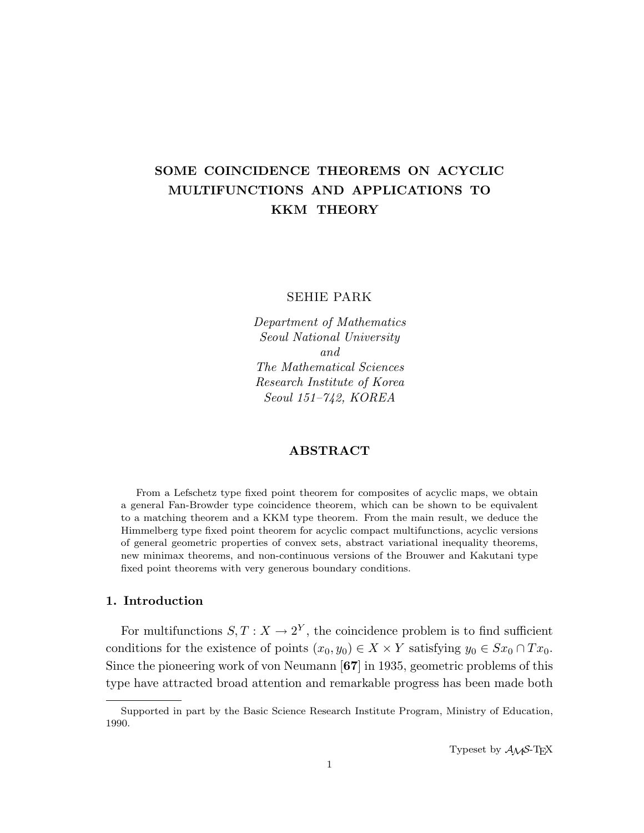# SOME COINCIDENCE THEOREMS ON ACYCLIC MULTIFUNCTIONS AND APPLICATIONS TO KKM THEORY

SEHIE PARK

Department of Mathematics Seoul National University and The Mathematical Sciences Research Institute of Korea Seoul 151–742, KOREA

### ABSTRACT

From a Lefschetz type fixed point theorem for composites of acyclic maps, we obtain a general Fan-Browder type coincidence theorem, which can be shown to be equivalent to a matching theorem and a KKM type theorem. From the main result, we deduce the Himmelberg type fixed point theorem for acyclic compact multifunctions, acyclic versions of general geometric properties of convex sets, abstract variational inequality theorems, new minimax theorems, and non-continuous versions of the Brouwer and Kakutani type fixed point theorems with very generous boundary conditions.

### 1. Introduction

For multifunctions  $S, T: X \to 2^Y$ , the coincidence problem is to find sufficient conditions for the existence of points  $(x_0, y_0) \in X \times Y$  satisfying  $y_0 \in Sx_0 \cap Tx_0$ . Since the pioneering work of von Neumann [67] in 1935, geometric problems of this type have attracted broad attention and remarkable progress has been made both

Supported in part by the Basic Science Research Institute Program, Ministry of Education, 1990.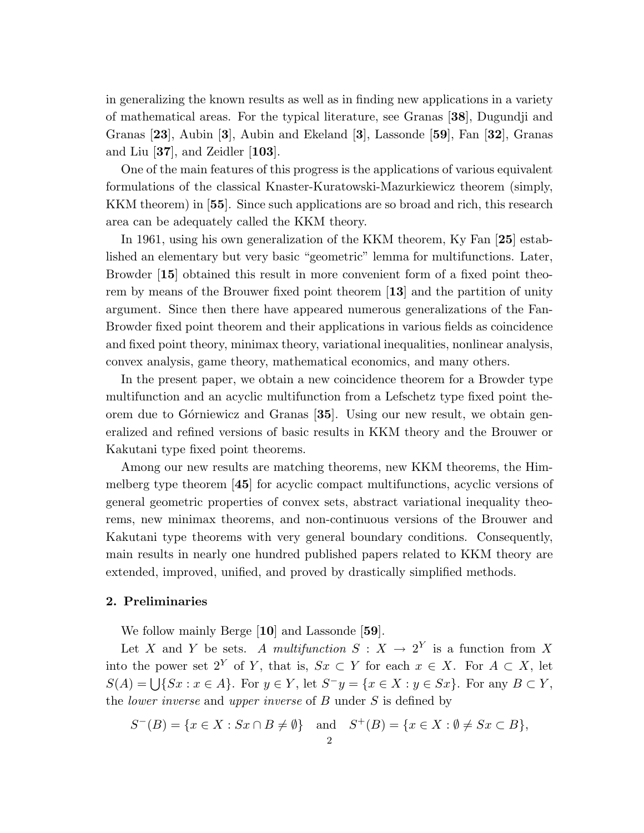in generalizing the known results as well as in finding new applications in a variety of mathematical areas. For the typical literature, see Granas [38], Dugundji and Granas [23], Aubin [3], Aubin and Ekeland [3], Lassonde [59], Fan [32], Granas and Liu [37], and Zeidler [103].

One of the main features of this progress is the applications of various equivalent formulations of the classical Knaster-Kuratowski-Mazurkiewicz theorem (simply, KKM theorem) in [55]. Since such applications are so broad and rich, this research area can be adequately called the KKM theory.

In 1961, using his own generalization of the KKM theorem, Ky Fan [25] established an elementary but very basic "geometric" lemma for multifunctions. Later, Browder [15] obtained this result in more convenient form of a fixed point theorem by means of the Brouwer fixed point theorem [13] and the partition of unity argument. Since then there have appeared numerous generalizations of the Fan-Browder fixed point theorem and their applications in various fields as coincidence and fixed point theory, minimax theory, variational inequalities, nonlinear analysis, convex analysis, game theory, mathematical economics, and many others.

In the present paper, we obtain a new coincidence theorem for a Browder type multifunction and an acyclic multifunction from a Lefschetz type fixed point theorem due to Górniewicz and Granas [35]. Using our new result, we obtain generalized and refined versions of basic results in KKM theory and the Brouwer or Kakutani type fixed point theorems.

Among our new results are matching theorems, new KKM theorems, the Himmelberg type theorem [45] for acyclic compact multifunctions, acyclic versions of general geometric properties of convex sets, abstract variational inequality theorems, new minimax theorems, and non-continuous versions of the Brouwer and Kakutani type theorems with very general boundary conditions. Consequently, main results in nearly one hundred published papers related to KKM theory are extended, improved, unified, and proved by drastically simplified methods.

### 2. Preliminaries

We follow mainly Berge [10] and Lassonde [59].

Let X and Y be sets. A multifunction  $S: X \to 2^Y$  is a function from X into the power set  $2^Y$  of Y, that is,  $Sx \subset Y$  for each  $x \in X$ . For  $A \subset X$ , let  $S(A) = \bigcup \{Sx : x \in A\}.$  For  $y \in Y$ , let  $S^{-}y = \{x \in X : y \in Sx\}.$  For any  $B \subset Y$ , the *lower inverse* and *upper inverse* of  $B$  under  $S$  is defined by

$$
S^{-}(B) = \{x \in X : Sx \cap B \neq \emptyset\} \text{ and } S^{+}(B) = \{x \in X : \emptyset \neq Sx \subset B\},\
$$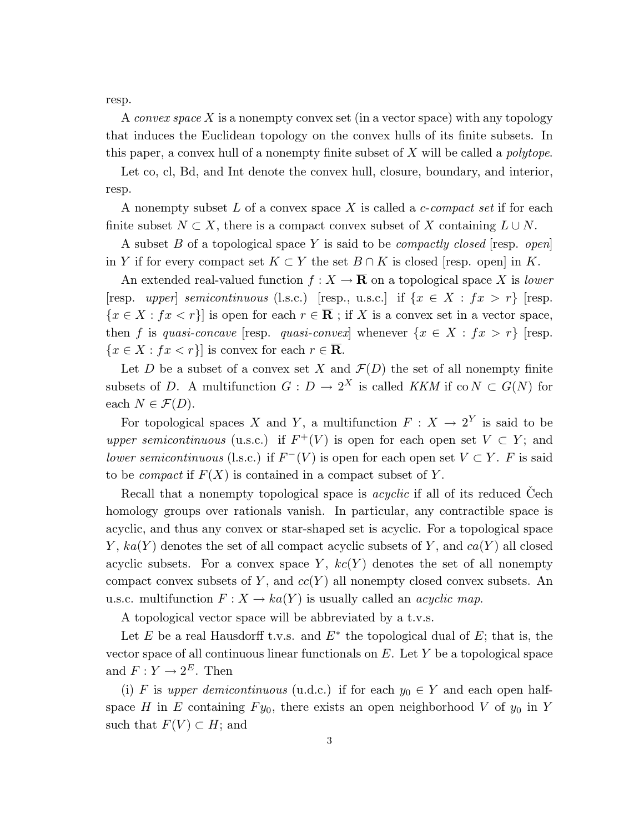resp.

A convex space X is a nonempty convex set (in a vector space) with any topology that induces the Euclidean topology on the convex hulls of its finite subsets. In this paper, a convex hull of a nonempty finite subset of X will be called a polytope.

Let co, cl, Bd, and Int denote the convex hull, closure, boundary, and interior, resp.

A nonempty subset  $L$  of a convex space  $X$  is called a *c-compact set* if for each finite subset  $N \subset X$ , there is a compact convex subset of X containing  $L \cup N$ .

A subset B of a topological space Y is said to be *compactly closed* [resp. *open*] in Y if for every compact set  $K \subset Y$  the set  $B \cap K$  is closed [resp. open] in K.

An extended real-valued function  $f: X \to \overline{\mathbf{R}}$  on a topological space X is lower [resp. upper] semicontinuous (l.s.c.) [resp., u.s.c.] if  $\{x \in X : fx > r\}$  [resp.  ${x \in X : fx < r}$  is open for each  $r \in \overline{R}$ ; if X is a convex set in a vector space, then f is quasi-concave [resp. quasi-convex] whenever  $\{x \in X : fx > r\}$  [resp.  ${x \in X : fx < r}$  is convex for each  $r \in \overline{R}$ .

Let D be a subset of a convex set X and  $\mathcal{F}(D)$  the set of all nonempty finite subsets of D. A multifunction  $G: D \to 2^X$  is called KKM if co  $N \subset G(N)$  for each  $N \in \mathcal{F}(D)$ .

For topological spaces X and Y, a multifunction  $F: X \to 2^Y$  is said to be upper semicontinuous (u.s.c.) if  $F^+(V)$  is open for each open set  $V \subset Y$ ; and lower semicontinuous (l.s.c.) if  $F^-(V)$  is open for each open set  $V \subset Y$ . F is said to be *compact* if  $F(X)$  is contained in a compact subset of Y.

Recall that a nonempty topological space is *acyclic* if all of its reduced Cech homology groups over rationals vanish. In particular, any contractible space is acyclic, and thus any convex or star-shaped set is acyclic. For a topological space Y,  $ka(Y)$  denotes the set of all compact acyclic subsets of Y, and  $ca(Y)$  all closed acyclic subsets. For a convex space Y,  $kc(Y)$  denotes the set of all nonempty compact convex subsets of Y, and  $cc(Y)$  all nonempty closed convex subsets. An u.s.c. multifunction  $F: X \to ka(Y)$  is usually called an *acyclic map*.

A topological vector space will be abbreviated by a t.v.s.

Let E be a real Hausdorff t.v.s. and  $E^*$  the topological dual of E; that is, the vector space of all continuous linear functionals on  $E$ . Let  $Y$  be a topological space and  $F: Y \to 2^E$ . Then

(i) F is upper demicontinuous (u.d.c.) if for each  $y_0 \in Y$  and each open halfspace H in E containing  $F y_0$ , there exists an open neighborhood V of  $y_0$  in Y such that  $F(V) \subset H$ ; and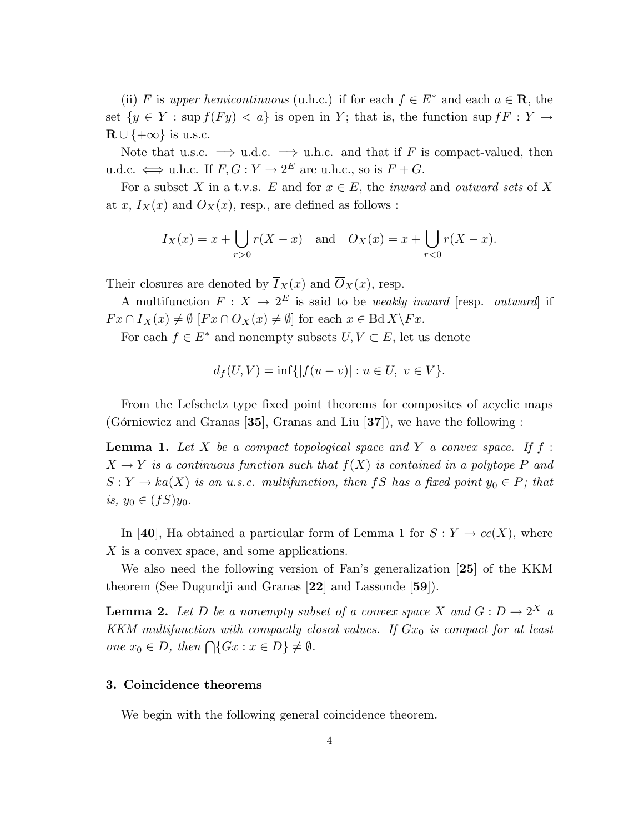(ii) F is upper hemicontinuous (u.h.c.) if for each  $f \in E^*$  and each  $a \in \mathbb{R}$ , the set  $\{y \in Y : \sup f(Fy) < a\}$  is open in Y; that is, the function sup  $f \in Y \to Y$  $\mathbf{R} \cup \{+\infty\}$  is u.s.c.

Note that u.s.c.  $\implies$  u.d.c.  $\implies$  u.h.c. and that if F is compact-valued, then u.d.c.  $\iff$  u.h.c. If  $F, G: Y \to 2^E$  are u.h.c., so is  $F + G$ .

For a subset X in a t.v.s. E and for  $x \in E$ , the *inward* and *outward sets* of X at x,  $I_X(x)$  and  $O_X(x)$ , resp., are defined as follows :

$$
I_X(x) = x + \bigcup_{r>0} r(X - x)
$$
 and  $O_X(x) = x + \bigcup_{r<0} r(X - x)$ .

Their closures are denoted by  $\overline{I}_X(x)$  and  $\overline{O}_X(x)$ , resp.

A multifunction  $F: X \to 2^E$  is said to be *weakly inward* [resp. *outward*] if  $Fx \cap \overline{I}_X(x) \neq \emptyset$   $[Fx \cap \overline{O}_X(x) \neq \emptyset]$  for each  $x \in \text{Bd} X\backslash Fx$ .

For each  $f \in E^*$  and nonempty subsets  $U, V \subset E$ , let us denote

$$
d_f(U, V) = \inf\{|f(u - v)| : u \in U, v \in V\}.
$$

From the Lefschetz type fixed point theorems for composites of acyclic maps (Górniewicz and Granas [35], Granas and Liu [37]), we have the following :

**Lemma 1.** Let X be a compact topological space and Y a convex space. If  $f$ :  $X \to Y$  is a continuous function such that  $f(X)$  is contained in a polytope P and  $S: Y \to ka(X)$  is an u.s.c. multifunction, then fS has a fixed point  $y_0 \in P$ ; that *is*, *y*<sup>0</sup> ∈  $(fS)y$ <sup>0</sup>.

In [40], Ha obtained a particular form of Lemma 1 for  $S: Y \to cc(X)$ , where X is a convex space, and some applications.

We also need the following version of Fan's generalization [25] of the KKM theorem (See Dugundji and Granas [22] and Lassonde [59]).

**Lemma 2.** Let D be a nonempty subset of a convex space X and  $G: D \to 2^X$  a KKM multifunction with compactly closed values. If  $Gx_0$  is compact for at least one  $x_0 \in D$ , then  $\bigcap \{Gx : x \in D\} \neq \emptyset$ .

### 3. Coincidence theorems

We begin with the following general coincidence theorem.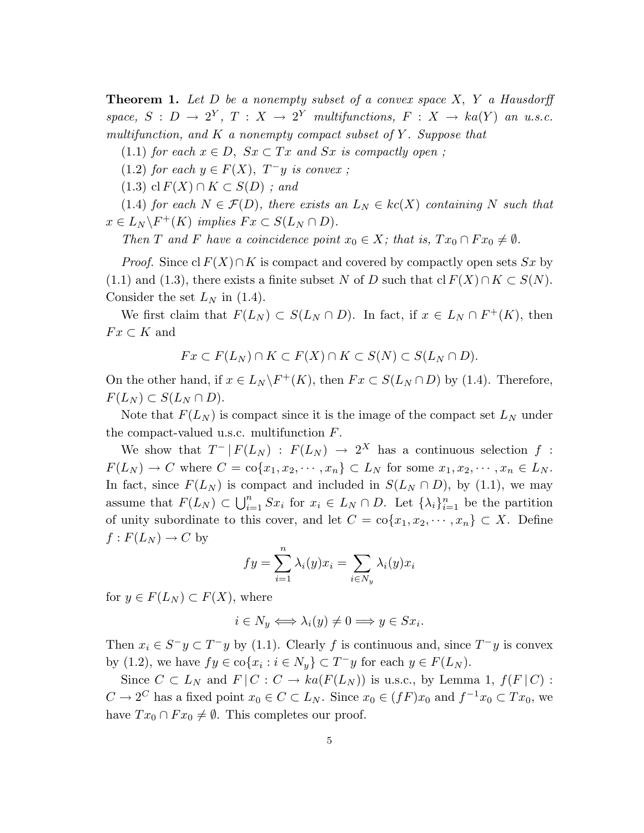**Theorem 1.** Let D be a nonempty subset of a convex space  $X$ , Y a Hausdorff space,  $S : D \to 2^Y$ ,  $T : X \to 2^Y$  multifunctions,  $F : X \to ka(Y)$  an u.s.c. multifunction, and  $K$  a nonempty compact subset of  $Y$ . Suppose that

- (1.1) for each  $x \in D$ ,  $Sx \subset Tx$  and  $Sx$  is compactly open;
- (1.2) for each  $y \in F(X)$ ,  $T^-y$  is convex;
- $(1.3)$  cl  $F(X) \cap K \subset S(D)$ ; and

(1.4) for each  $N \in \mathcal{F}(D)$ , there exists an  $L_N \in kc(X)$  containing N such that  $x \in L_N \backslash F^+(K)$  implies  $Fx \subset S(L_N \cap D)$ .

Then T and F have a coincidence point  $x_0 \in X$ ; that is,  $Tx_0 \cap F x_0 \neq \emptyset$ .

*Proof.* Since cl  $F(X) \cap K$  is compact and covered by compactly open sets Sx by (1.1) and (1.3), there exists a finite subset N of D such that  $\text{cl } F(X) \cap K \subset S(N)$ . Consider the set  $L_N$  in (1.4).

We first claim that  $F(L_N) \subset S(L_N \cap D)$ . In fact, if  $x \in L_N \cap F^+(K)$ , then  $Fx\subset K$  and

$$
Fx\subset F(L_N)\cap K\subset F(X)\cap K\subset S(N)\subset S(L_N\cap D).
$$

On the other hand, if  $x \in L_N \backslash F^+(K)$ , then  $Fx \subset S(L_N \cap D)$  by (1.4). Therefore,  $F(L_N) \subset S(L_N \cap D).$ 

Note that  $F(L_N)$  is compact since it is the image of the compact set  $L_N$  under the compact-valued u.s.c. multifunction F.

We show that  $T^- | F(L_N) : F(L_N) \to 2^X$  has a continuous selection f:  $F(L_N) \to C$  where  $C = \text{co}\{x_1, x_2, \cdots, x_n\} \subset L_N$  for some  $x_1, x_2, \cdots, x_n \in L_N$ . In fact, since  $F(L_N)$  is compact and included in  $S(L_N \cap D)$ , by (1.1), we may assume that  $F(L_N) \subset \bigcup_{i=1}^n$  $\sum_{i=1}^n Sx_i$  for  $x_i \in L_N \cap D$ . Let  $\{\lambda_i\}_{i=1}^n$  be the partition of unity subordinate to this cover, and let  $C = \text{co}\{x_1, x_2, \dots, x_n\} \subset X$ . Define  $f: F(L_N) \to C$  by

$$
fy = \sum_{i=1}^{n} \lambda_i(y)x_i = \sum_{i \in N_y} \lambda_i(y)x_i
$$

for  $y \in F(L_N) \subset F(X)$ , where

$$
i \in N_y \Longleftrightarrow \lambda_i(y) \neq 0 \Longrightarrow y \in Sx_i.
$$

Then  $x_i \in S^- y \subset T^- y$  by (1.1). Clearly f is continuous and, since  $T^- y$  is convex by (1.2), we have  $fy \in \text{co}\{x_i : i \in N_y\} \subset T^-y$  for each  $y \in F(L_N)$ .

Since  $C \subset L_N$  and  $F \mid C : C \to ka(F(L_N))$  is u.s.c., by Lemma 1,  $f(F \mid C)$ :  $C \to 2^C$  has a fixed point  $x_0 \in C \subset L_N$ . Since  $x_0 \in (fF)x_0$  and  $f^{-1}x_0 \subset Tx_0$ , we have  $Tx_0 \cap F x_0 \neq \emptyset$ . This completes our proof.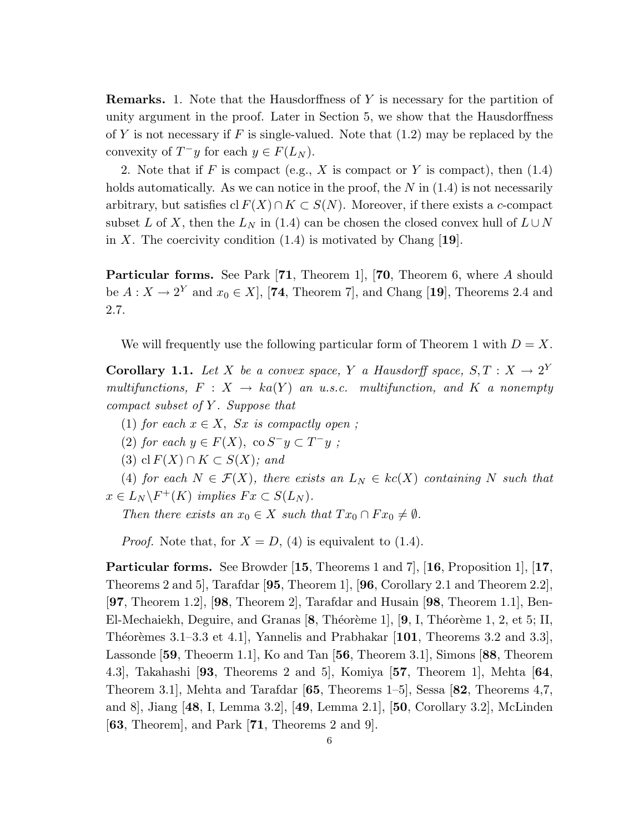Remarks. 1. Note that the Hausdorffness of Y is necessary for the partition of unity argument in the proof. Later in Section 5, we show that the Hausdorffness of Y is not necessary if F is single-valued. Note that  $(1.2)$  may be replaced by the convexity of  $T^-y$  for each  $y \in F(L_N)$ .

2. Note that if F is compact (e.g., X is compact or Y is compact), then  $(1.4)$ holds automatically. As we can notice in the proof, the  $N$  in  $(1.4)$  is not necessarily arbitrary, but satisfies cl  $F(X) \cap K \subset S(N)$ . Moreover, if there exists a c-compact subset L of X, then the  $L_N$  in (1.4) can be chosen the closed convex hull of  $L\cup N$ in X. The coercivity condition  $(1.4)$  is motivated by Chang [19].

Particular forms. See Park [71, Theorem 1], [70, Theorem 6, where A should be  $A: X \to 2^Y$  and  $x_0 \in X$ , [74, Theorem 7], and Chang [19], Theorems 2.4 and 2.7.

We will frequently use the following particular form of Theorem 1 with  $D = X$ .

**Corollary 1.1.** Let X be a convex space, Y a Hausdorff space,  $S, T : X \rightarrow 2^Y$ multifunctions,  $F: X \to ka(Y)$  an u.s.c. multifunction, and K a nonempty compact subset of  $Y$ . Suppose that

(1) for each  $x \in X$ ,  $Sx$  is compactly open;

(2) for each  $y \in F(X)$ , co  $S^{-}y \subset T^{-}y$ ;

(3) cl  $F(X) \cap K \subset S(X)$ ; and

(4) for each  $N \in \mathcal{F}(X)$ , there exists an  $L_N \in kc(X)$  containing N such that  $x \in L_N \backslash F^+(K)$  implies  $Fx \subset S(L_N)$ .

Then there exists an  $x_0 \in X$  such that  $Tx_0 \cap F x_0 \neq \emptyset$ .

*Proof.* Note that, for  $X = D$ , (4) is equivalent to (1.4).

Particular forms. See Browder [15, Theorems 1 and 7], [16, Proposition 1], [17, Theorems 2 and 5], Tarafdar [95, Theorem 1], [96, Corollary 2.1 and Theorem 2.2], [97, Theorem 1.2], [98, Theorem 2], Tarafdar and Husain [98, Theorem 1.1], Ben-El-Mechaiekh, Deguire, and Granas  $[8,$  Théorème 1],  $[9, I,$  Théorème 1, 2, et 5; II, Théorèmes 3.1–3.3 et 4.1], Yannelis and Prabhakar  $[101,$  Theorems 3.2 and 3.3], Lassonde [59, Theoerm 1.1], Ko and Tan [56, Theorem 3.1], Simons [88, Theorem 4.3], Takahashi [93, Theorems 2 and 5], Komiya [57, Theorem 1], Mehta [64, Theorem 3.1], Mehta and Tarafdar [65, Theorems 1–5], Sessa [82, Theorems 4,7, and 8], Jiang [48, I, Lemma 3.2], [49, Lemma 2.1], [50, Corollary 3.2], McLinden [63, Theorem], and Park [71, Theorems 2 and 9].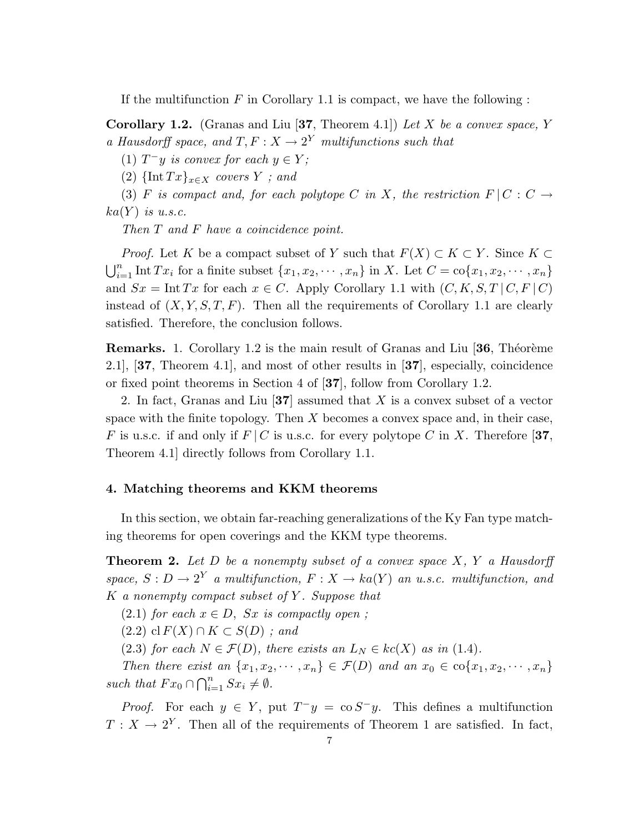If the multifunction  $F$  in Corollary 1.1 is compact, we have the following:

**Corollary 1.2.** (Granas and Liu [37, Theorem 4.1]) Let X be a convex space, Y a Hausdorff space, and  $T, F: X \to 2^Y$  multifunctions such that

(1)  $T^-y$  is convex for each  $y \in Y$ ;

(2)  $\{\text{Int } Tx\}_{x \in X}$  covers Y ; and

(3) F is compact and, for each polytope C in X, the restriction  $F \mid C : C \rightarrow$  $ka(Y)$  is u.s.c.

Then T and F have a coincidence point.

*Proof.* Let K be a compact subset of Y such that  $F(X) \subset K \subset Y$ . Since  $K \subset Y$  $n$  $\sum_{i=1}^{n} \text{Int } Tx_i$  for a finite subset  $\{x_1, x_2, \cdots, x_n\}$  in X. Let  $C = \text{co}\{x_1, x_2, \cdots, x_n\}$ and  $Sx = \text{Int } Tx$  for each  $x \in C$ . Apply Corollary 1.1 with  $(C, K, S, T \mid C, F \mid C)$ instead of  $(X, Y, S, T, F)$ . Then all the requirements of Corollary 1.1 are clearly satisfied. Therefore, the conclusion follows.

**Remarks.** 1. Corollary 1.2 is the main result of Granas and Liu  $[36,$  Théorème 2.1], [37, Theorem 4.1], and most of other results in [37], especially, coincidence or fixed point theorems in Section 4 of [37], follow from Corollary 1.2.

2. In fact, Granas and Liu [37] assumed that X is a convex subset of a vector space with the finite topology. Then X becomes a convex space and, in their case, F is u.s.c. if and only if  $F/C$  is u.s.c. for every polytope C in X. Therefore [37, Theorem 4.1] directly follows from Corollary 1.1.

### 4. Matching theorems and KKM theorems

In this section, we obtain far-reaching generalizations of the Ky Fan type matching theorems for open coverings and the KKM type theorems.

**Theorem 2.** Let  $D$  be a nonempty subset of a convex space  $X$ ,  $Y$  a Hausdorff space,  $S: D \to 2^Y$  a multifunction,  $F: X \to ka(Y)$  an u.s.c. multifunction, and  $K$  a nonempty compact subset of Y. Suppose that

 $(2.1)$  for each  $x \in D$ , Sx is compactly open;

 $(2.2)$  cl  $F(X) \cap K \subset S(D)$ ; and

(2.3) for each  $N \in \mathcal{F}(D)$ , there exists an  $L_N \in kc(X)$  as in (1.4).

Then there exist an  $\{x_1, x_2, \cdots, x_n\} \in \mathcal{F}(D)$  and an  $x_0 \in \text{co}\{x_1, x_2, \cdots, x_n\}$ such that  $Fx_0 \cap \bigcap_{i=1}^n$  $\sum_{i=1}^n Sx_i \neq \emptyset.$ 

*Proof.* For each  $y \in Y$ , put  $T^{-}y = \cos^{-}y$ . This defines a multifunction  $T: X \to 2^Y$ . Then all of the requirements of Theorem 1 are satisfied. In fact,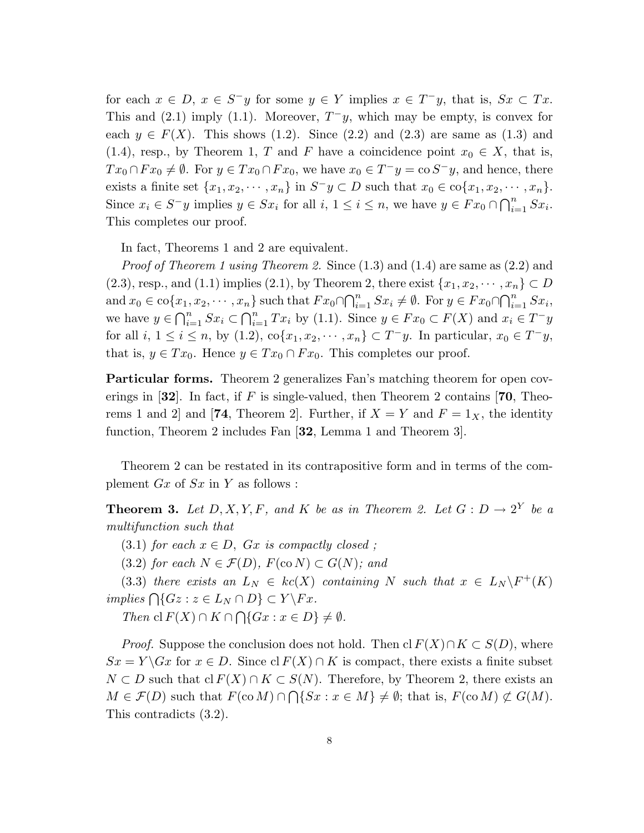for each  $x \in D$ ,  $x \in S^{-}y$  for some  $y \in Y$  implies  $x \in T^{-}y$ , that is,  $Sx \subset Tx$ . This and  $(2.1)$  imply  $(1.1)$ . Moreover,  $T^{-}y$ , which may be empty, is convex for each  $y \in F(X)$ . This shows (1.2). Since (2.2) and (2.3) are same as (1.3) and (1.4), resp., by Theorem 1, T and F have a coincidence point  $x_0 \in X$ , that is,  $Tx_0 \cap Fx_0 \neq \emptyset$ . For  $y \in Tx_0 \cap Fx_0$ , we have  $x_0 \in T^-y = \text{co } S^-y$ , and hence, there exists a finite set  $\{x_1, x_2, \dots, x_n\}$  in  $S^-y \subset D$  such that  $x_0 \in \text{co}\{x_1, x_2, \dots, x_n\}$ . Since  $x_i \in S^- y$  implies  $y \in S x_i$  for all  $i, 1 \leq i \leq n$ , we have  $y \in F x_0 \cap \bigcap_{i=1}^n$  $\sum_{i=1}^n Sx_i$ . This completes our proof.

In fact, Theorems 1 and 2 are equivalent.

*Proof of Theorem 1 using Theorem 2.* Since  $(1.3)$  and  $(1.4)$  are same as  $(2.2)$  and (2.3), resp., and (1.1) implies (2.1), by Theorem 2, there exist  $\{x_1, x_2, \dots, x_n\} \subset D$ and  $x_0 \in \text{co}\{x_1, x_2, \cdots, x_n\}$  such that  $Fx_0 \cap \bigcap_{i=1}^n$  $\sum_{i=1}^{n} Sx_i \neq \emptyset$ . For  $y \in Fx_0 \cap$  $\mathcal{L}^{n}$  $x_1, x_2, \dots, x_n$  such that  $Fx_0 \cap \bigcap_{i=1}^n Sx_i \neq \emptyset$ . For  $y \in Fx_0 \cap \bigcap_{i=1}^n Sx_i$ ,<br>  $\bigcap_{i=1}^n Sx_i \subset \bigcap_{i=1}^n T_{\square_i}$  by (1,1). Since  $y \in Fx_0 \subset F(X)$  and  $x \in T_{\square_i}$ we have  $y \in \bigcap_{i=1}^n Sx_i \subset \bigcap_{i=1}^n Tx_i$  by (1.1). Since  $y \in Fx_0 \subset F(X)$  and  $x_i \in T^{-}y$ for all  $i, 1 \leq i \leq n$ , by  $(1.2)$ ,  $\text{co}\{x_1, x_2, \cdots, x_n\} \subset T^-y$ . In particular,  $x_0 \in T^-y$ , that is,  $y \in Tx_0$ . Hence  $y \in Tx_0 \cap Fx_0$ . This completes our proof.

Particular forms. Theorem 2 generalizes Fan's matching theorem for open coverings in [32]. In fact, if F is single-valued, then Theorem 2 contains [70, Theorems 1 and 2 and [74, Theorem 2]. Further, if  $X = Y$  and  $F = 1_X$ , the identity function, Theorem 2 includes Fan [32, Lemma 1 and Theorem 3].

Theorem 2 can be restated in its contrapositive form and in terms of the complement  $Gx$  of  $Sx$  in Y as follows :

**Theorem 3.** Let  $D, X, Y, F$ , and K be as in Theorem 2. Let  $G: D \to 2^Y$  be a multifunction such that

(3.1) for each  $x \in D$ ,  $Gx$  is compactly closed;

(3.2) for each  $N \in \mathcal{F}(D)$ ,  $F(\text{co }N) \subset G(N)$ ; and

(3.3) there exists an  $L_N \in kc(X)$  containing N such that  $x \in L_N \backslash F^+(K)$  $(m.5)$  and  $c$  and  $m L_N \subset R_{\mathcal{C}}(X)$ <br>implies  $\bigcap \{Gz : z \in L_N \cap D\} \subset Y \backslash Fx$ .  $\overline{\phantom{a}}$ 

Then cl  $F(X) \cap K \cap$  $\{Gx : x \in D\} \neq \emptyset$ .

*Proof.* Suppose the conclusion does not hold. Then cl  $F(X) \cap K \subset S(D)$ , where  $Sx = Y \backslash Gx$  for  $x \in D$ . Since cl  $F(X) \cap K$  is compact, there exists a finite subset  $N \subset D$  such that  $\text{cl } F(X) \cap K \subset S(N)$ . Therefore, by Theorem 2, there exists an  $M \in \mathcal{F}(D)$  such that  $F(\text{co }M) \cap \bigcap \{Sx : x \in M\} \neq \emptyset$ ; that is,  $F(\text{co }M) \not\subset G(M)$ . This contradicts (3.2).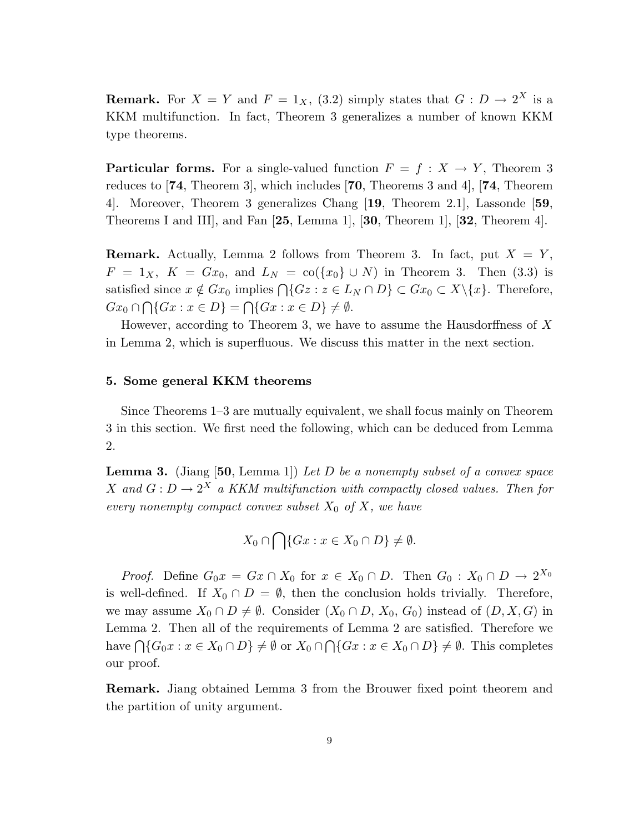**Remark.** For  $X = Y$  and  $F = 1_X$ , (3.2) simply states that  $G: D \to 2^X$  is a KKM multifunction. In fact, Theorem 3 generalizes a number of known KKM type theorems.

**Particular forms.** For a single-valued function  $F = f : X \to Y$ , Theorem 3 reduces to [74, Theorem 3], which includes [70, Theorems 3 and 4], [74, Theorem 4]. Moreover, Theorem 3 generalizes Chang [19, Theorem 2.1], Lassonde [59, Theorems I and III, and Fan  $[25, \text{Lemma 1}], [30, \text{ Theorem 1}], [32, \text{ Theorem 4}].$ 

**Remark.** Actually, Lemma 2 follows from Theorem 3. In fact, put  $X = Y$ ,  $F = 1_X$ ,  $K = Gx_0$ , and  $L_N = \text{co}(\{x_0\} \cup N)$  in Theorem 3. Then (3.3) is satisfied since  $x \notin Gx_0$  implies  $\bigcap \{Gz : z \in L_N \cap D\} \subset Gx_0 \subset X \setminus \{x\}.$  Therefore,  $Gx_0 \cap \bigcap \{Gx : x \in D\} = \bigcap \{Gx : x \in D\} \neq \emptyset.$ 

However, according to Theorem 3, we have to assume the Hausdorffness of  $X$ in Lemma 2, which is superfluous. We discuss this matter in the next section.

### 5. Some general KKM theorems

Since Theorems 1–3 are mutually equivalent, we shall focus mainly on Theorem 3 in this section. We first need the following, which can be deduced from Lemma 2.

**Lemma 3.** (Jiang [50, Lemma 1]) Let D be a nonempty subset of a convex space X and  $G: D \to 2^X$  a KKM multifunction with compactly closed values. Then for every nonempty compact convex subset  $X_0$  of  $X$ , we have

$$
X_0 \cap \bigcap \{Gx : x \in X_0 \cap D\} \neq \emptyset.
$$

*Proof.* Define  $G_0x = Gx \cap X_0$  for  $x \in X_0 \cap D$ . Then  $G_0 : X_0 \cap D \to 2^{X_0}$ is well-defined. If  $X_0 \cap D = \emptyset$ , then the conclusion holds trivially. Therefore, we may assume  $X_0 \cap D \neq \emptyset$ . Consider  $(X_0 \cap D, X_0, G_0)$  instead of  $(D, X, G)$  in Lemma 2. Then all of the requirements of Lemma 2 are satisfied. Therefore we have  $\bigcap \{G_0x : x \in X_0 \cap D\} \neq \emptyset$  or  $X_0 \cap \bigcap \{Gx : x \in X_0 \cap D\} \neq \emptyset$ . This completes our proof.

Remark. Jiang obtained Lemma 3 from the Brouwer fixed point theorem and the partition of unity argument.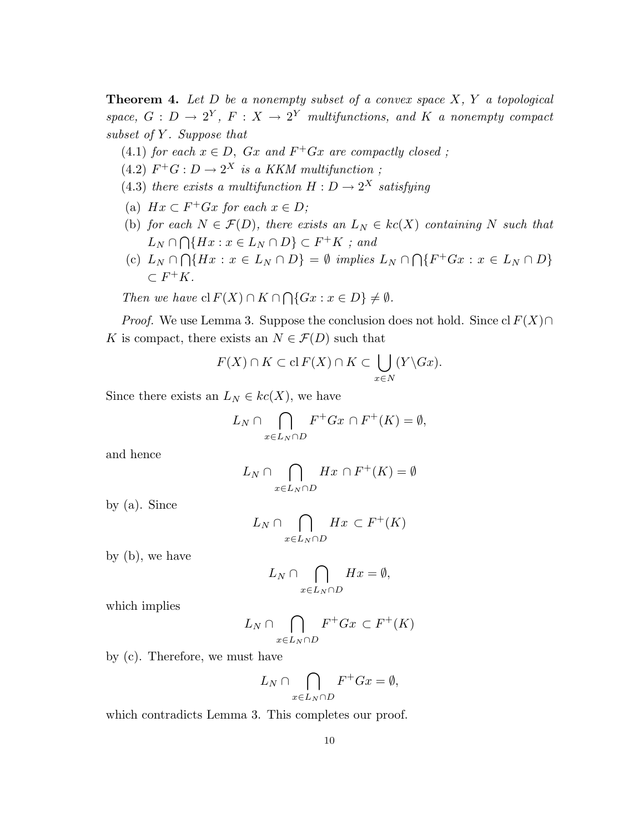**Theorem 4.** Let  $D$  be a nonempty subset of a convex space  $X$ ,  $Y$  a topological space,  $G: D \to 2^Y$ ,  $F: X \to 2^Y$  multifunctions, and K a nonempty compact subset of  $Y$ . Suppose that

- (4.1) for each  $x \in D$ ,  $Gx$  and  $F^+Gx$  are compactly closed;
- $(4.2)$   $F^+G: D \to 2^X$  is a KKM multifunction;
- (4.3) there exists a multifunction  $H: D \to 2^X$  satisfying
- (a)  $Hx \subset F^+Gx$  for each  $x \in D$ ;
- (b) for each  $N \in \mathcal{F}(D)$ , there exists an  $L_N \in kc(X)$  containing N such that  $L_N \cap$  $\tilde{\phantom{a}}$  $\bigcap \{Hx : x \in L_N \cap D\} \subset F^+K$ ; and  $\overline{a}$
- (c)  $L_N \cap \bigcap \{Hx : x \in L_N \cap D\} = \emptyset$  implies  $L_N \cap$  ${F^+Gx : x \in L_N \cap D}$  $\subset F^+K$ .

Then we have  $\operatorname{cl} F(X) \cap K \cap$  $\overline{a}$  $\{Gx : x \in D\} \neq \emptyset$ .

*Proof.* We use Lemma 3. Suppose the conclusion does not hold. Since cl  $F(X) \cap$ K is compact, there exists an  $N \in \mathcal{F}(D)$  such that

$$
F(X) \cap K \subset \mathrm{cl}\, F(X) \cap K \subset \bigcup_{x \in N} (Y \backslash Gx).
$$

Since there exists an  $L_N \in kc(X)$ , we have

$$
L_N \cap \bigcap_{x \in L_N \cap D} F^+Gx \cap F^+(K) = \emptyset,
$$

and hence

$$
L_N \cap \bigcap_{x \in L_N \cap D} Hx \cap F^+(K) = \emptyset
$$

by (a). Since

$$
L_N \cap \bigcap_{x \in L_N \cap D} Hx \subset F^+(K)
$$

by (b), we have

$$
L_N \cap \bigcap_{x \in L_N \cap D} Hx = \emptyset,
$$

which implies

$$
L_N \cap \bigcap_{x \in L_N \cap D} F^+Gx \subset F^+(K)
$$

by (c). Therefore, we must have

$$
L_N \cap \bigcap_{x \in L_N \cap D} F^+Gx = \emptyset,
$$

which contradicts Lemma 3. This completes our proof.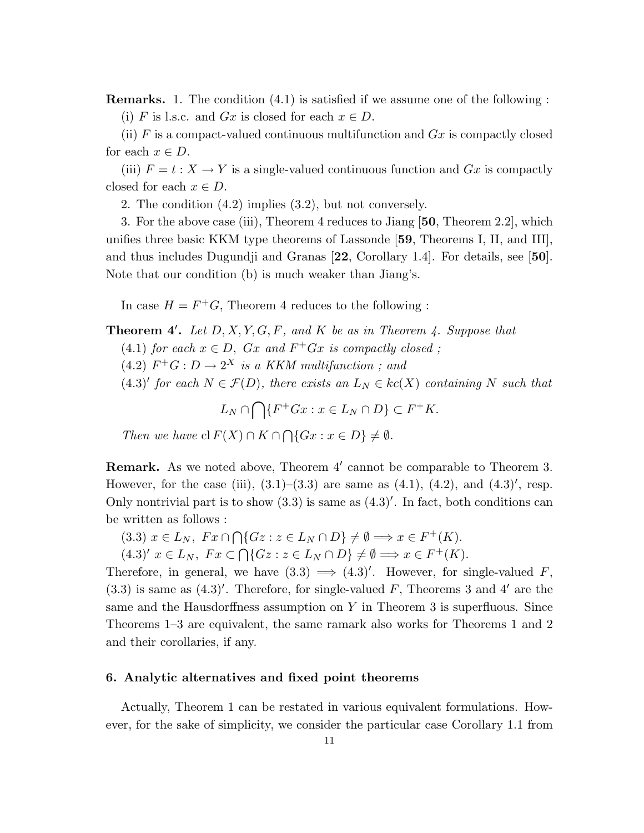Remarks. 1. The condition (4.1) is satisfied if we assume one of the following : (i) F is l.s.c. and  $Gx$  is closed for each  $x \in D$ .

(ii)  $F$  is a compact-valued continuous multifunction and  $Gx$  is compactly closed for each  $x \in D$ .

(iii)  $F = t : X \to Y$  is a single-valued continuous function and  $Gx$  is compactly closed for each  $x \in D$ .

2. The condition (4.2) implies (3.2), but not conversely.

3. For the above case (iii), Theorem 4 reduces to Jiang [50, Theorem 2.2], which unifies three basic KKM type theorems of Lassonde [59, Theorems I, II, and III], and thus includes Dugundji and Granas [22, Corollary 1.4]. For details, see [50]. Note that our condition (b) is much weaker than Jiang's.

In case  $H = F^+G$ , Theorem 4 reduces to the following :

## **Theorem 4'.** Let  $D, X, Y, G, F$ , and  $K$  be as in Theorem 4. Suppose that

- (4.1) for each  $x \in D$ ,  $Gx$  and  $F^+Gx$  is compactly closed;
- $(4.2)$   $F^+G: D \to 2^X$  is a KKM multifunction; and
- $(4.3)'$  for each  $N \in \mathcal{F}(D)$ , there exists an  $L_N \in kc(X)$  containing N such that

 $L_N \cap$  $\sim$  ${F^+Gx : x \in L_N \cap D} \subset F^+K.$ 

Then we have  $\operatorname{cl} F(X) \cap K \cap$  $\overline{a}$  $\{Gx : x \in D\} \neq \emptyset$ .

Remark. As we noted above, Theorem 4' cannot be comparable to Theorem 3. However, for the case (iii),  $(3.1)$ – $(3.3)$  are same as  $(4.1)$ ,  $(4.2)$ , and  $(4.3)'$ , resp. Only nontrivial part is to show  $(3.3)$  is same as  $(4.3)'$ . In fact, both conditions can be written as follows :  $\overline{a}$ 

$$
(3.3) \ x \in L_N, \ Fx \cap \bigcap \{Gz : z \in L_N \cap D\} \neq \emptyset \Longrightarrow x \in F^+(K).
$$

 $(4.3)'$   $x \in L_N$ ,  $Fx \subset$  $\{Gz : z \in L_N \cap D\} \neq \emptyset \Longrightarrow x \in F^+(K).$ 

Therefore, in general, we have  $(3.3) \implies (4.3)'$ . However, for single-valued F,  $(3.3)$  is same as  $(4.3)'$ . Therefore, for single-valued F, Theorems 3 and 4' are the same and the Hausdorffness assumption on  $Y$  in Theorem 3 is superfluous. Since Theorems 1–3 are equivalent, the same ramark also works for Theorems 1 and 2 and their corollaries, if any.

### 6. Analytic alternatives and fixed point theorems

Actually, Theorem 1 can be restated in various equivalent formulations. However, for the sake of simplicity, we consider the particular case Corollary 1.1 from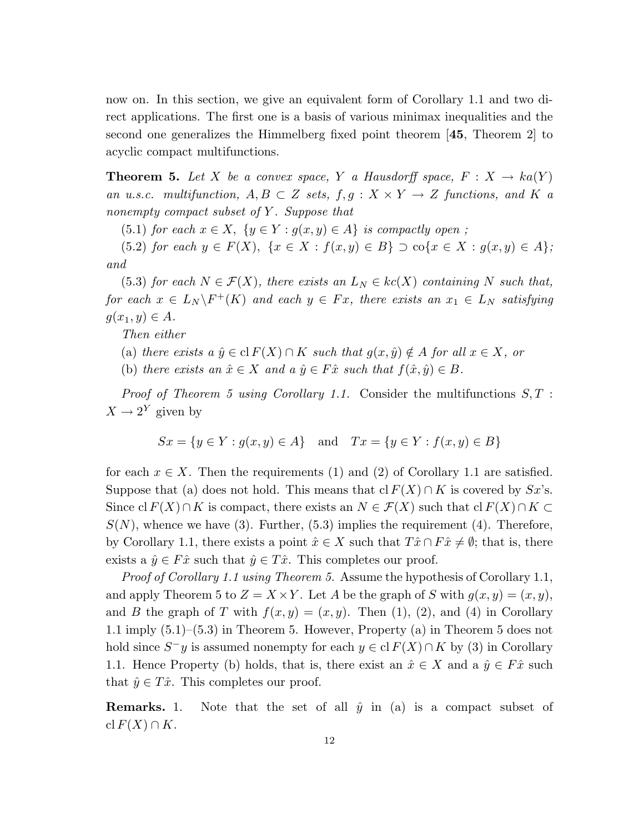now on. In this section, we give an equivalent form of Corollary 1.1 and two direct applications. The first one is a basis of various minimax inequalities and the second one generalizes the Himmelberg fixed point theorem [45, Theorem 2] to acyclic compact multifunctions.

**Theorem 5.** Let X be a convex space, Y a Hausdorff space,  $F: X \to ka(Y)$ an u.s.c. multifunction,  $A, B \subset Z$  sets,  $f, g: X \times Y \rightarrow Z$  functions, and K a nonempty compact subset of  $Y$ . Suppose that

(5.1) for each  $x \in X$ ,  $\{y \in Y : g(x, y) \in A\}$  is compactly open;

(5.2) for each  $y \in F(X)$ ,  $\{x \in X : f(x,y) \in B\} \supset \text{co}\{x \in X : g(x,y) \in A\};$ and

(5.3) for each  $N \in \mathcal{F}(X)$ , there exists an  $L_N \in kc(X)$  containing N such that, for each  $x \in L_N \backslash F^+(K)$  and each  $y \in Fx$ , there exists an  $x_1 \in L_N$  satisfying  $g(x_1, y) \in A$ .

Then either

- (a) there exists a  $\hat{y} \in \text{cl } F(X) \cap K$  such that  $g(x, \hat{y}) \notin A$  for all  $x \in X$ , or
- (b) there exists an  $\hat{x} \in X$  and  $a \hat{y} \in F\hat{x}$  such that  $f(\hat{x}, \hat{y}) \in B$ .

*Proof of Theorem 5 using Corollary 1.1.* Consider the multifunctions  $S, T$ :  $X \to 2^Y$  given by

$$
Sx = \{y \in Y : g(x, y) \in A\}
$$
 and  $Tx = \{y \in Y : f(x, y) \in B\}$ 

for each  $x \in X$ . Then the requirements (1) and (2) of Corollary 1.1 are satisfied. Suppose that (a) does not hold. This means that cl  $F(X) \cap K$  is covered by Sx's. Since cl  $F(X) \cap K$  is compact, there exists an  $N \in \mathcal{F}(X)$  such that cl  $F(X) \cap K \subset$  $S(N)$ , whence we have (3). Further, (5.3) implies the requirement (4). Therefore, by Corollary 1.1, there exists a point  $\hat{x} \in X$  such that  $T\hat{x} \cap F\hat{x} \neq \emptyset$ ; that is, there exists a  $\hat{y} \in F\hat{x}$  such that  $\hat{y} \in T\hat{x}$ . This completes our proof.

Proof of Corollary 1.1 using Theorem 5. Assume the hypothesis of Corollary 1.1, and apply Theorem 5 to  $Z = X \times Y$ . Let A be the graph of S with  $g(x, y) = (x, y)$ , and B the graph of T with  $f(x, y) = (x, y)$ . Then (1), (2), and (4) in Corollary 1.1 imply (5.1)–(5.3) in Theorem 5. However, Property (a) in Theorem 5 does not hold since  $S^-y$  is assumed nonempty for each  $y \in \text{cl } F(X) \cap K$  by (3) in Corollary 1.1. Hence Property (b) holds, that is, there exist an  $\hat{x} \in X$  and a  $\hat{y} \in F\hat{x}$  such that  $\hat{y} \in T\hat{x}$ . This completes our proof.

**Remarks.** 1. Note that the set of all  $\hat{y}$  in (a) is a compact subset of cl  $F(X) \cap K$ .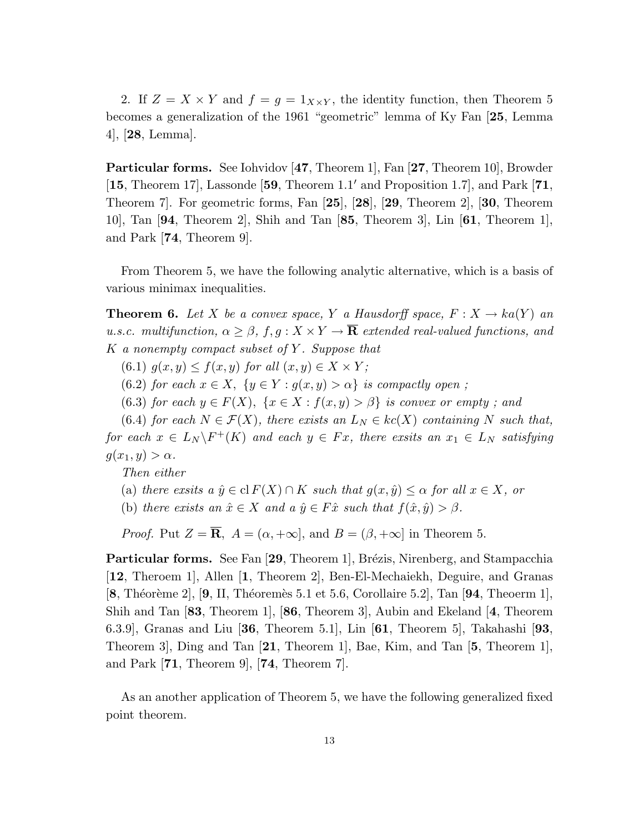2. If  $Z = X \times Y$  and  $f = g = 1_{X \times Y}$ , the identity function, then Theorem 5 becomes a generalization of the 1961 "geometric" lemma of Ky Fan [25, Lemma 4], [28, Lemma].

Particular forms. See Iohvidov [47, Theorem 1], Fan [27, Theorem 10], Browder [15, Theorem 17], Lassonde [59, Theorem 1.1' and Proposition 1.7], and Park [71, Theorem 7]. For geometric forms, Fan [25], [28], [29, Theorem 2], [30, Theorem 10], Tan [94, Theorem 2], Shih and Tan [85, Theorem 3], Lin [61, Theorem 1], and Park [74, Theorem 9].

From Theorem 5, we have the following analytic alternative, which is a basis of various minimax inequalities.

**Theorem 6.** Let X be a convex space, Y a Hausdorff space,  $F: X \to ka(Y)$  and u.s.c. multifunction,  $\alpha \geq \beta$ ,  $f, g: X \times Y \to \overline{\mathbf{R}}$  extended real-valued functions, and  $K$  a nonempty compact subset of Y. Suppose that

(6.1)  $g(x, y) \leq f(x, y)$  for all  $(x, y) \in X \times Y$ ;

(6.2) for each  $x \in X$ ,  $\{y \in Y : g(x, y) > \alpha\}$  is compactly open;

(6.3) for each  $y \in F(X)$ ,  $\{x \in X : f(x,y) > \beta\}$  is convex or empty; and

(6.4) for each  $N \in \mathcal{F}(X)$ , there exists an  $L_N \in kc(X)$  containing N such that, for each  $x \in L_N \backslash F^+(K)$  and each  $y \in Fx$ , there exsits an  $x_1 \in L_N$  satisfying  $g(x_1, y) > \alpha$ .

Then either

(a) there exsits a  $\hat{y} \in \text{cl } F(X) \cap K$  such that  $g(x, \hat{y}) \leq \alpha$  for all  $x \in X$ , or

(b) there exists an  $\hat{x} \in X$  and a  $\hat{y} \in F\hat{x}$  such that  $f(\hat{x}, \hat{y}) > \beta$ .

*Proof.* Put  $Z = \overline{R}$ ,  $A = (\alpha, +\infty]$ , and  $B = (\beta, +\infty]$  in Theorem 5.

**Particular forms.** See Fan  $[29,$  Theorem 1, Brézis, Nirenberg, and Stampacchia [12, Theroem 1], Allen [1, Theorem 2], Ben-El-Mechaiekh, Deguire, and Granas  $[8,$  Théorème 2],  $[9,$  II, Théoremès 5.1 et 5.6, Corollaire 5.2], Tan  $[94,$  Theoerm 1], Shih and Tan [83, Theorem 1], [86, Theorem 3], Aubin and Ekeland [4, Theorem 6.3.9], Granas and Liu [36, Theorem 5.1], Lin [61, Theorem 5], Takahashi [93, Theorem 3], Ding and Tan [21, Theorem 1], Bae, Kim, and Tan [5, Theorem 1], and Park  $[71,$  Theorem 9,  $[74,$  Theorem 7.

As an another application of Theorem 5, we have the following generalized fixed point theorem.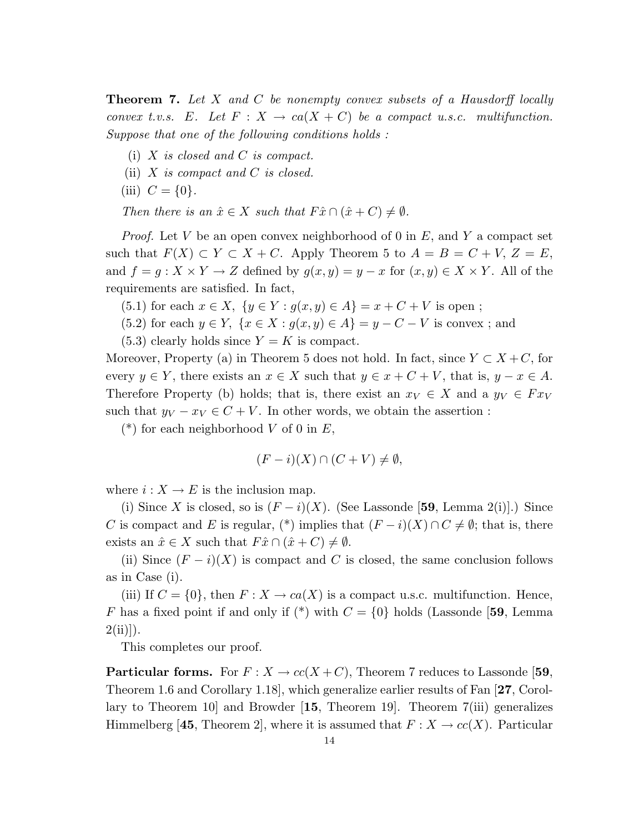**Theorem 7.** Let X and C be nonempty convex subsets of a Hausdorff locally convex t.v.s. E. Let  $F: X \to ca(X+C)$  be a compact u.s.c. multifunction. Suppose that one of the following conditions holds :

- (i)  $X$  is closed and  $C$  is compact.
- (ii)  $X$  is compact and  $C$  is closed.
- (iii)  $C = \{0\}.$

Then there is an  $\hat{x} \in X$  such that  $F\hat{x} \cap (\hat{x} + C) \neq \emptyset$ .

*Proof.* Let V be an open convex neighborhood of 0 in  $E$ , and Y a compact set such that  $F(X) \subset Y \subset X + C$ . Apply Theorem 5 to  $A = B = C + V$ ,  $Z = E$ , and  $f = g: X \times Y \to Z$  defined by  $g(x, y) = y - x$  for  $(x, y) \in X \times Y$ . All of the requirements are satisfied. In fact,

- (5.1) for each  $x \in X$ ,  $\{y \in Y : g(x, y) \in A\} = x + C + V$  is open;
- (5.2) for each  $y \in Y$ ,  $\{x \in X : g(x, y) \in A\} = y C V$  is convex; and
- $(5.3)$  clearly holds since  $Y = K$  is compact.

Moreover, Property (a) in Theorem 5 does not hold. In fact, since  $Y \subset X + C$ , for every  $y \in Y$ , there exists an  $x \in X$  such that  $y \in x + C + V$ , that is,  $y - x \in A$ . Therefore Property (b) holds; that is, there exist an  $x_V \in X$  and a  $y_V \in F x_V$ such that  $y_V - x_V \in C + V$ . In other words, we obtain the assertion :

(\*) for each neighborhood V of 0 in  $E$ ,

$$
(F - i)(X) \cap (C + V) \neq \emptyset,
$$

where  $i: X \to E$  is the inclusion map.

(i) Since X is closed, so is  $(F - i)(X)$ . (See Lassonde [59, Lemma 2(i)].) Since C is compact and E is regular, (\*) implies that  $(F - i)(X) \cap C \neq \emptyset$ ; that is, there exists an  $\hat{x} \in X$  such that  $F\hat{x} \cap (\hat{x} + C) \neq \emptyset$ .

(ii) Since  $(F - i)(X)$  is compact and C is closed, the same conclusion follows as in Case (i).

(iii) If  $C = \{0\}$ , then  $F: X \to ca(X)$  is a compact u.s.c. multifunction. Hence, F has a fixed point if and only if  $(*)$  with  $C = \{0\}$  holds (Lassonde [59, Lemma  $2(ii)]$ .

This completes our proof.

**Particular forms.** For  $F: X \to cc(X+C)$ , Theorem 7 reduces to Lassonde [59, Theorem 1.6 and Corollary 1.18], which generalize earlier results of Fan [27, Corollary to Theorem 10] and Browder [15, Theorem 19]. Theorem 7(iii) generalizes Himmelberg [45, Theorem 2], where it is assumed that  $F: X \to cc(X)$ . Particular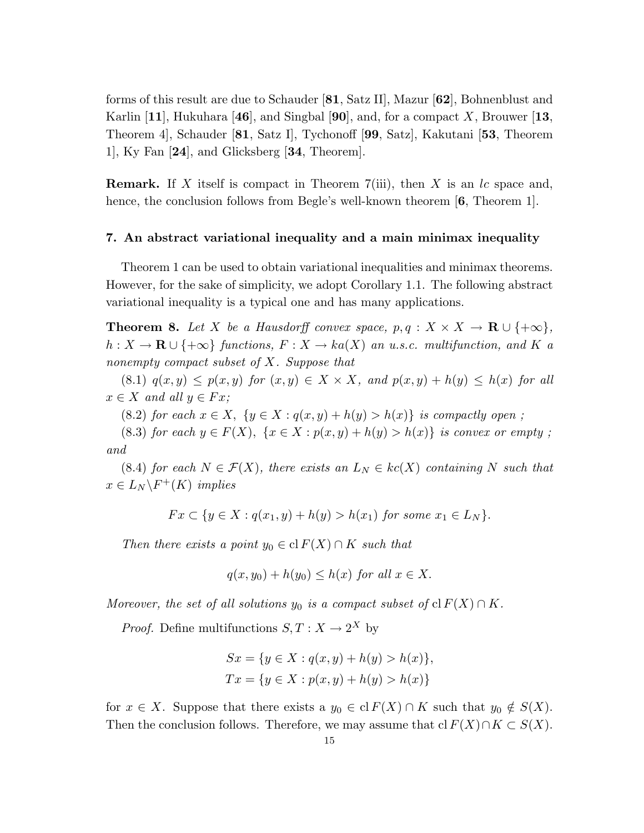forms of this result are due to Schauder [81, Satz II], Mazur [62], Bohnenblust and Karlin [11], Hukuhara [46], and Singbal [90], and, for a compact X, Brouwer [13, Theorem 4], Schauder [81, Satz I], Tychonoff [99, Satz], Kakutani [53, Theorem 1], Ky Fan [24], and Glicksberg [34, Theorem].

**Remark.** If X itself is compact in Theorem 7(iii), then X is an  $lc$  space and, hence, the conclusion follows from Begle's well-known theorem [6, Theorem 1].

#### 7. An abstract variational inequality and a main minimax inequality

Theorem 1 can be used to obtain variational inequalities and minimax theorems. However, for the sake of simplicity, we adopt Corollary 1.1. The following abstract variational inequality is a typical one and has many applications.

**Theorem 8.** Let X be a Hausdorff convex space,  $p, q : X \times X \to \mathbf{R} \cup \{+\infty\},\$  $h: X \to \mathbf{R} \cup \{+\infty\}$  functions,  $F: X \to ka(X)$  an u.s.c. multifunction, and K a nonempty compact subset of X. Suppose that

(8.1)  $q(x,y) \leq p(x,y)$  for  $(x,y) \in X \times X$ , and  $p(x,y) + h(y) \leq h(x)$  for all  $x \in X$  and all  $y \in Fx$ ;

(8.2) for each  $x \in X$ ,  $\{y \in X : q(x,y) + h(y) > h(x)\}$  is compactly open;

(8.3) for each  $y \in F(X)$ ,  $\{x \in X : p(x, y) + h(y) > h(x)\}$  is convex or empty; and

(8.4) for each  $N \in \mathcal{F}(X)$ , there exists an  $L_N \in kc(X)$  containing N such that  $x \in L_N \backslash F^+(K)$  implies

 $Fx \subset \{y \in X : q(x_1, y) + h(y) > h(x_1) \text{ for some } x_1 \in L_N\}.$ 

Then there exists a point  $y_0 \in \text{cl } F(X) \cap K$  such that

$$
q(x, y_0) + h(y_0) \le h(x) \text{ for all } x \in X.
$$

Moreover, the set of all solutions  $y_0$  is a compact subset of cl  $F(X) \cap K$ .

*Proof.* Define multifunctions  $S, T : X \to 2^X$  by

$$
Sx = \{y \in X : q(x, y) + h(y) > h(x)\},\
$$
  

$$
Tx = \{y \in X : p(x, y) + h(y) > h(x)\}
$$

for  $x \in X$ . Suppose that there exists a  $y_0 \in \text{cl } F(X) \cap K$  such that  $y_0 \notin S(X)$ . Then the conclusion follows. Therefore, we may assume that cl  $F(X) \cap K \subset S(X)$ .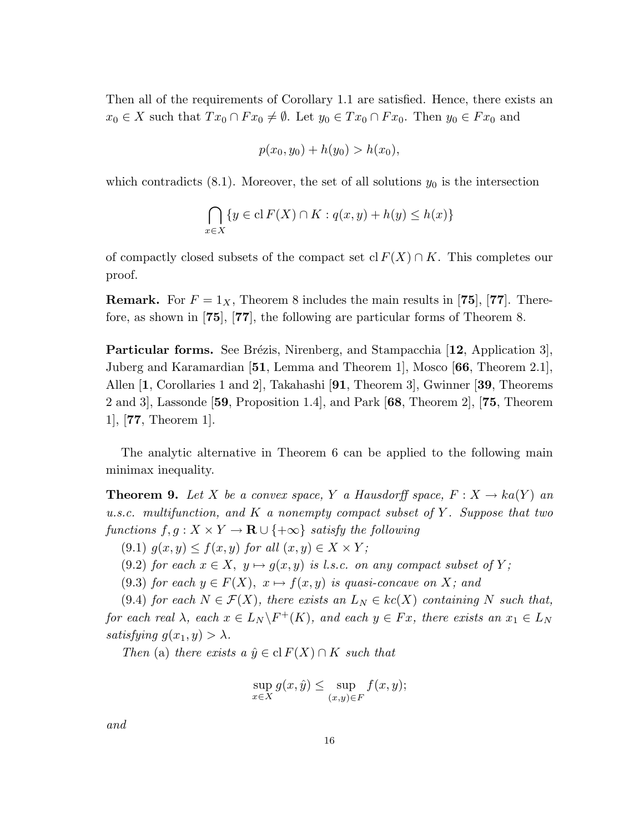Then all of the requirements of Corollary 1.1 are satisfied. Hence, there exists an  $x_0 \in X$  such that  $Tx_0 \cap F x_0 \neq \emptyset$ . Let  $y_0 \in Tx_0 \cap F x_0$ . Then  $y_0 \in F x_0$  and

$$
p(x_0, y_0) + h(y_0) > h(x_0),
$$

which contradicts  $(8.1)$ . Moreover, the set of all solutions  $y_0$  is the intersection

$$
\bigcap_{x \in X} \{ y \in \mathrm{cl}\, F(X) \cap K : q(x,y) + h(y) \le h(x) \}
$$

of compactly closed subsets of the compact set cl  $F(X) \cap K$ . This completes our proof.

**Remark.** For  $F = 1_X$ , Theorem 8 includes the main results in [75], [77]. Therefore, as shown in [75], [77], the following are particular forms of Theorem 8.

**Particular forms.** See Brézis, Nirenberg, and Stampacchia  $[12,$  Application 3], Juberg and Karamardian [51, Lemma and Theorem 1], Mosco [66, Theorem 2.1], Allen [1, Corollaries 1 and 2], Takahashi [91, Theorem 3], Gwinner [39, Theorems 2 and 3], Lassonde [59, Proposition 1.4], and Park [68, Theorem 2], [75, Theorem 1], [77, Theorem 1].

The analytic alternative in Theorem 6 can be applied to the following main minimax inequality.

**Theorem 9.** Let X be a convex space, Y a Hausdorff space,  $F: X \to ka(Y)$  and u.s.c. multifunction, and K a nonempty compact subset of Y. Suppose that two functions  $f, g: X \times Y \to \mathbf{R} \cup \{+\infty\}$  satisfy the following

(9.1)  $g(x, y) \leq f(x, y)$  for all  $(x, y) \in X \times Y$ ;

(9.2) for each  $x \in X$ ,  $y \mapsto g(x, y)$  is l.s.c. on any compact subset of Y;

(9.3) for each  $y \in F(X)$ ,  $x \mapsto f(x, y)$  is quasi-concave on X; and

(9.4) for each  $N \in \mathcal{F}(X)$ , there exists an  $L_N \in kc(X)$  containing N such that, for each real  $\lambda$ , each  $x \in L_N \backslash F^+(K)$ , and each  $y \in Fx$ , there exists an  $x_1 \in L_N$ satisfying  $g(x_1, y) > \lambda$ .

Then (a) there exists a  $\hat{y} \in \text{cl } F(X) \cap K$  such that

$$
\sup_{x \in X} g(x, \hat{y}) \le \sup_{(x,y) \in F} f(x, y);
$$

and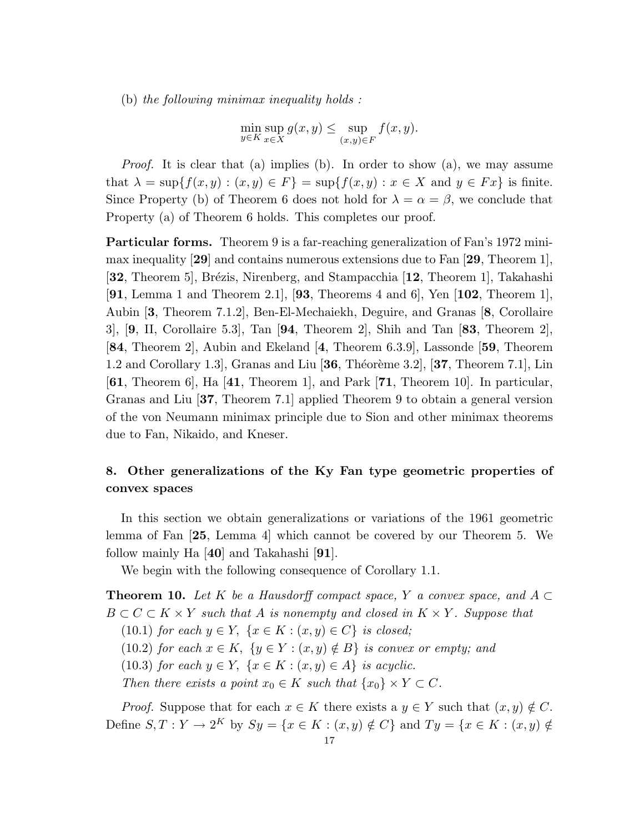(b) the following minimax inequality holds :

$$
\min_{y \in K} \sup_{x \in X} g(x, y) \le \sup_{(x, y) \in F} f(x, y).
$$

Proof. It is clear that (a) implies (b). In order to show (a), we may assume that  $\lambda = \sup\{f(x, y) : (x, y) \in F\} = \sup\{f(x, y) : x \in X \text{ and } y \in Fx\}$  is finite. Since Property (b) of Theorem 6 does not hold for  $\lambda = \alpha = \beta$ , we conclude that Property (a) of Theorem 6 holds. This completes our proof.

Particular forms. Theorem 9 is a far-reaching generalization of Fan's 1972 minimax inequality [29] and contains numerous extensions due to Fan [29, Theorem 1], [32, Theorem 5], Brézis, Nirenberg, and Stampacchia [12, Theorem 1], Takahashi [91, Lemma 1 and Theorem 2.1], [93, Theorems 4 and 6], Yen  $[102,$  Theorem 1], Aubin [3, Theorem 7.1.2], Ben-El-Mechaiekh, Deguire, and Granas [8, Corollaire  $3$ ,  $[9, II, Corollaire 5.3], Tan [94, Theorem 2], Shih and Tan [83, Theorem 2],$ [84, Theorem 2], Aubin and Ekeland [4, Theorem 6.3.9], Lassonde [59, Theorem 1.2 and Corollary 1.3, Granas and Liu  $[36,$  Théorème 3.2,  $[37,$  Theorem 7.1, Lin [61, Theorem 6], Ha [41, Theorem 1], and Park [71, Theorem 10]. In particular, Granas and Liu [37, Theorem 7.1] applied Theorem 9 to obtain a general version of the von Neumann minimax principle due to Sion and other minimax theorems due to Fan, Nikaido, and Kneser.

# 8. Other generalizations of the Ky Fan type geometric properties of convex spaces

In this section we obtain generalizations or variations of the 1961 geometric lemma of Fan [25, Lemma 4] which cannot be covered by our Theorem 5. We follow mainly Ha [40] and Takahashi [91].

We begin with the following consequence of Corollary 1.1.

**Theorem 10.** Let K be a Hausdorff compact space, Y a convex space, and  $A \subset$  $B \subset C \subset K \times Y$  such that A is nonempty and closed in  $K \times Y$ . Suppose that

(10.1) for each  $y \in Y$ ,  $\{x \in K : (x, y) \in C\}$  is closed;

(10.2) for each  $x \in K$ ,  $\{y \in Y : (x, y) \notin B\}$  is convex or empty; and

(10.3) for each  $y \in Y$ ,  $\{x \in K : (x, y) \in A\}$  is acyclic.

Then there exists a point  $x_0 \in K$  such that  $\{x_0\} \times Y \subset C$ .

*Proof.* Suppose that for each  $x \in K$  there exists a  $y \in Y$  such that  $(x, y) \notin C$ . Define  $S, T: Y \to 2^K$  by  $Sy = \{x \in K : (x, y) \notin C\}$  and  $Ty = \{x \in K : (x, y) \notin C\}$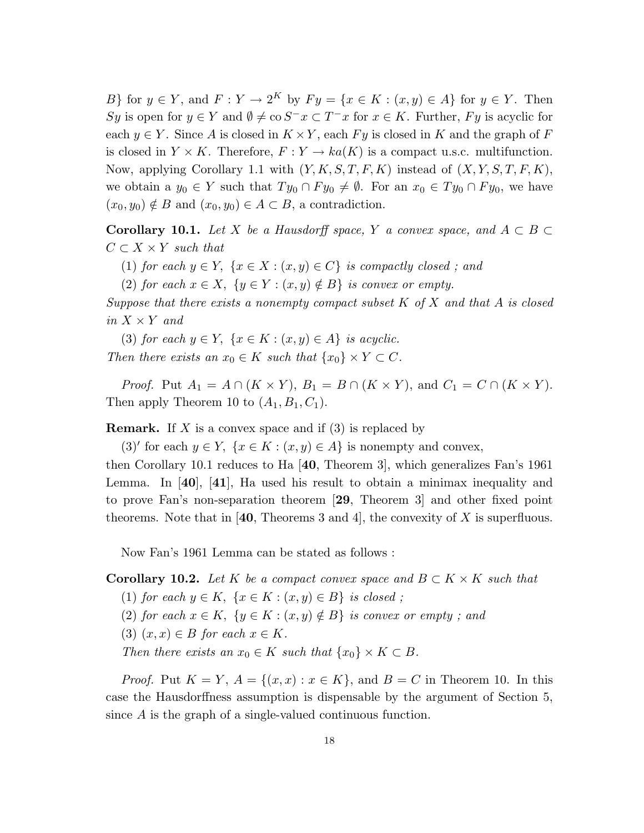B} for  $y \in Y$ , and  $F: Y \to 2^K$  by  $F y = \{x \in K : (x, y) \in A\}$  for  $y \in Y$ . Then Sy is open for  $y \in Y$  and  $\emptyset \neq \infty$   $S^{-}x \subset T^{-}x$  for  $x \in K$ . Further, Fy is acyclic for each  $y \in Y$ . Since A is closed in  $K \times Y$ , each Fy is closed in K and the graph of F is closed in  $Y \times K$ . Therefore,  $F: Y \to ka(K)$  is a compact u.s.c. multifunction. Now, applying Corollary 1.1 with  $(Y, K, S, T, F, K)$  instead of  $(X, Y, S, T, F, K)$ , we obtain a  $y_0 \in Y$  such that  $Ty_0 \cap F y_0 \neq \emptyset$ . For an  $x_0 \in Ty_0 \cap F y_0$ , we have  $(x_0, y_0) \notin B$  and  $(x_0, y_0) \in A \subset B$ , a contradiction.

**Corollary 10.1.** Let X be a Hausdorff space, Y a convex space, and  $A \subset B$  $C \subset X \times Y$  such that

- (1) for each  $y \in Y$ ,  $\{x \in X : (x, y) \in C\}$  is compactly closed; and
- (2) for each  $x \in X$ ,  $\{y \in Y : (x, y) \notin B\}$  is convex or empty.

Suppose that there exists a nonempty compact subset  $K$  of  $X$  and that  $A$  is closed in  $X \times Y$  and

(3) for each  $y \in Y$ ,  $\{x \in K : (x, y) \in A\}$  is acyclic. Then there exists an  $x_0 \in K$  such that  $\{x_0\} \times Y \subset C$ .

*Proof.* Put  $A_1 = A \cap (K \times Y)$ ,  $B_1 = B \cap (K \times Y)$ , and  $C_1 = C \cap (K \times Y)$ . Then apply Theorem 10 to  $(A_1, B_1, C_1)$ .

**Remark.** If X is a convex space and if  $(3)$  is replaced by

(3)' for each  $y \in Y$ ,  $\{x \in K : (x, y) \in A\}$  is nonempty and convex,

then Corollary 10.1 reduces to Ha [40, Theorem 3], which generalizes Fan's 1961 Lemma. In  $[40]$ ,  $[41]$ , Ha used his result to obtain a minimax inequality and to prove Fan's non-separation theorem [29, Theorem 3] and other fixed point theorems. Note that in [40, Theorems 3 and 4], the convexity of X is superfluous.

Now Fan's 1961 Lemma can be stated as follows :

**Corollary 10.2.** Let K be a compact convex space and  $B \subset K \times K$  such that

- (1) for each  $y \in K$ ,  $\{x \in K : (x, y) \in B\}$  is closed;
- (2) for each  $x \in K$ ,  $\{y \in K : (x, y) \notin B\}$  is convex or empty; and
- (3)  $(x, x) \in B$  for each  $x \in K$ .

Then there exists an  $x_0 \in K$  such that  $\{x_0\} \times K \subset B$ .

*Proof.* Put  $K = Y$ ,  $A = \{(x, x) : x \in K\}$ , and  $B = C$  in Theorem 10. In this case the Hausdorffness assumption is dispensable by the argument of Section 5, since A is the graph of a single-valued continuous function.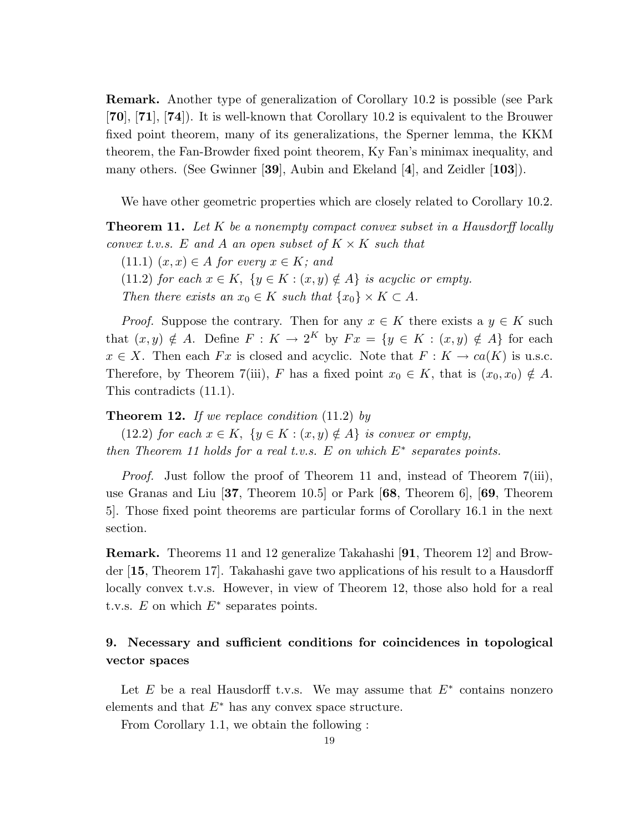Remark. Another type of generalization of Corollary 10.2 is possible (see Park [70], [71], [74]). It is well-known that Corollary 10.2 is equivalent to the Brouwer fixed point theorem, many of its generalizations, the Sperner lemma, the KKM theorem, the Fan-Browder fixed point theorem, Ky Fan's minimax inequality, and many others. (See Gwinner [39], Aubin and Ekeland [4], and Zeidler  $[103]$ ).

We have other geometric properties which are closely related to Corollary 10.2.

**Theorem 11.** Let K be a nonempty compact convex subset in a Hausdorff locally convex t.v.s. E and A an open subset of  $K \times K$  such that

 $(11.1)$   $(x, x) \in A$  for every  $x \in K$ ; and

(11.2) for each  $x \in K$ ,  $\{y \in K : (x, y) \notin A\}$  is acyclic or empty.

Then there exists an  $x_0 \in K$  such that  $\{x_0\} \times K \subset A$ .

*Proof.* Suppose the contrary. Then for any  $x \in K$  there exists a  $y \in K$  such that  $(x, y) \notin A$ . Define  $F : K \to 2^K$  by  $Fx = \{y \in K : (x, y) \notin A\}$  for each  $x \in X$ . Then each Fx is closed and acyclic. Note that  $F: K \to ca(K)$  is u.s.c. Therefore, by Theorem 7(iii), F has a fixed point  $x_0 \in K$ , that is  $(x_0, x_0) \notin A$ . This contradicts (11.1).

**Theorem 12.** If we replace condition  $(11.2)$  by

(12.2) for each  $x \in K$ ,  $\{y \in K : (x, y) \notin A\}$  is convex or empty, then Theorem 11 holds for a real t.v.s. E on which  $E^*$  separates points.

Proof. Just follow the proof of Theorem 11 and, instead of Theorem 7(iii), use Granas and Liu [37, Theorem 10.5] or Park [68, Theorem 6], [69, Theorem 5]. Those fixed point theorems are particular forms of Corollary 16.1 in the next section.

Remark. Theorems 11 and 12 generalize Takahashi [91, Theorem 12] and Browder [15, Theorem 17]. Takahashi gave two applications of his result to a Hausdorff locally convex t.v.s. However, in view of Theorem 12, those also hold for a real t.v.s.  $E$  on which  $E^*$  separates points.

# 9. Necessary and sufficient conditions for coincidences in topological vector spaces

Let  $E$  be a real Hausdorff t.v.s. We may assume that  $E^*$  contains nonzero elements and that  $E^*$  has any convex space structure.

From Corollary 1.1, we obtain the following :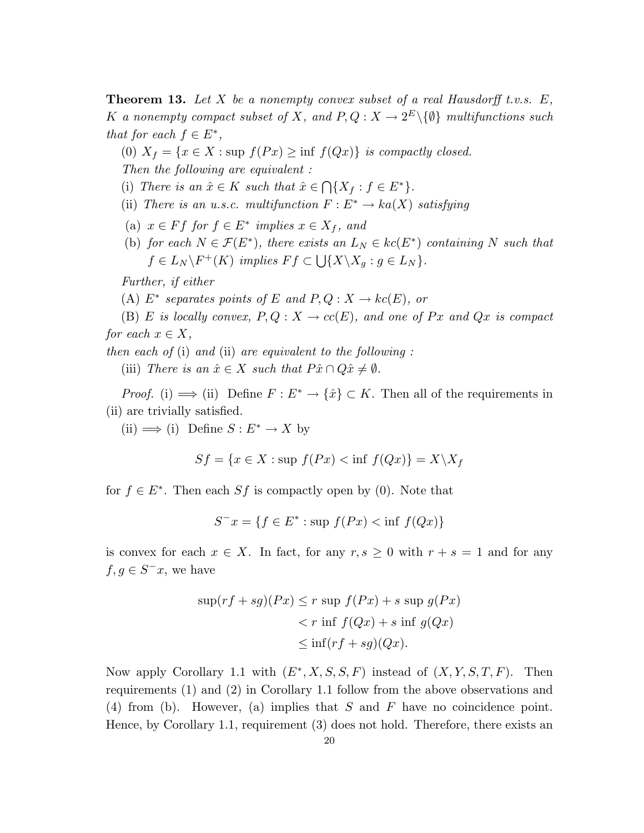**Theorem 13.** Let X be a nonempty convex subset of a real Hausdorff t.v.s.  $E$ , K a nonempty compact subset of X, and  $P, Q: X \to 2^E \setminus \{\emptyset\}$  multifunctions such that for each  $f \in E^*$ ,

(0)  $X_f = \{x \in X : \text{sup } f(Px) \geq \inf f(Qx)\}\$ is compactly closed. Then the following are equivalent :

(i) There is an  $\hat{x} \in K$  such that  $\hat{x} \in$  $\bigcap \{X_f : f \in E^*\}.$ 

- (ii) There is an u.s.c. multifunction  $F: E^* \to ka(X)$  satisfying
- (a)  $x \in Ff$  for  $f \in E^*$  implies  $x \in X_f$ , and
- (b) for each  $N \in \mathcal{F}(E^*)$ , there exists an  $L_N \in kc(E^*)$  containing N such that  $f \in L_N \backslash F^+(K)$  implies  $F f \subset \bigcup \{X \backslash X_g : g \in L_N \}.$

Further, if either

(A)  $E^*$  separates points of E and  $P, Q: X \to kc(E)$ , or

(B) E is locally convex,  $P, Q: X \to cc(E)$ , and one of Px and Qx is compact for each  $x \in X$ ,

then each of  $(i)$  and  $(ii)$  are equivalent to the following:

(iii) There is an  $\hat{x} \in X$  such that  $P\hat{x} \cap Q\hat{x} \neq \emptyset$ .

*Proof.* (i)  $\implies$  (ii) Define  $F: E^* \to \{\hat{x}\} \subset K$ . Then all of the requirements in (ii) are trivially satisfied.

(ii)  $\implies$  (i) Define  $S: E^* \to X$  by

$$
Sf = \{x \in X : \sup f(Px) < \inf f(Qx)\} = X \setminus X_f
$$

for  $f \in E^*$ . Then each Sf is compactly open by (0). Note that

$$
S^{-}x = \{ f \in E^* : \text{sup } f(Px) < \text{inf } f(Qx) \}
$$

is convex for each  $x \in X$ . In fact, for any  $r, s \geq 0$  with  $r + s = 1$  and for any  $f, g \in S^{-}x$ , we have

$$
\sup(rf + sg)(Px) \le r \sup f(Px) + s \sup g(Px)
$$
  
<  $r \inf f(Qx) + s \inf g(Qx)$   
 $\le \inf(rf + sg)(Qx).$ 

Now apply Corollary 1.1 with  $(E^*, X, S, S, F)$  instead of  $(X, Y, S, T, F)$ . Then requirements (1) and (2) in Corollary 1.1 follow from the above observations and (4) from (b). However, (a) implies that S and F have no coincidence point. Hence, by Corollary 1.1, requirement (3) does not hold. Therefore, there exists an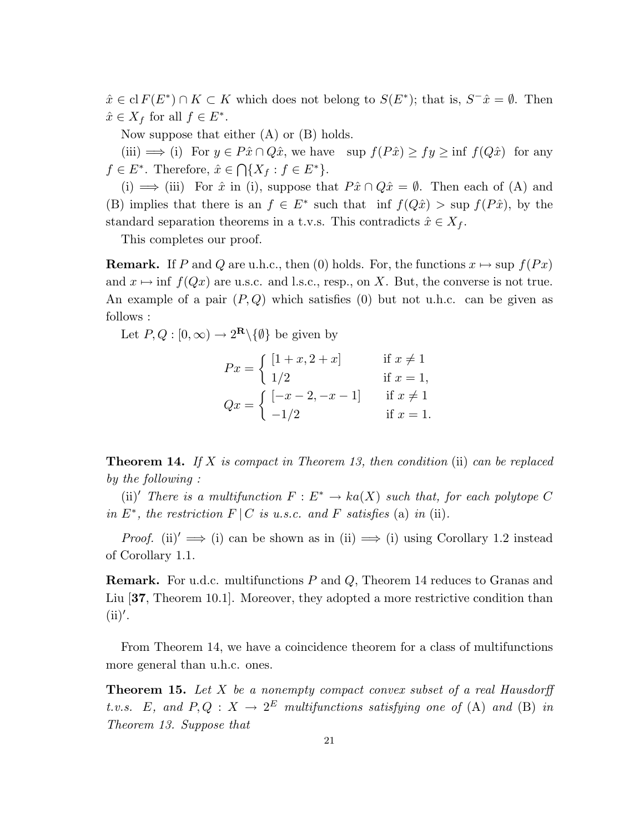$\hat{x} \in \text{cl } F(E^*) \cap K \subset K$  which does not belong to  $S(E^*)$ ; that is,  $S^-\hat{x} = \emptyset$ . Then  $\hat{x} \in X_f$  for all  $f \in E^*$ .

Now suppose that either (A) or (B) holds.

(iii)  $\implies$  (i) For  $y \in P\hat{x} \cap Q\hat{x}$ , we have  $\sup f(P\hat{x}) \ge fy \ge \inf f(Q\hat{x})$  for any  $f \in E^*$ . Therefore,  $\hat{x} \in \bigcap \{X_f : f \in E^*\}.$ 

(i)  $\implies$  (iii) For  $\hat{x}$  in (i), suppose that  $P\hat{x} \cap Q\hat{x} = \emptyset$ . Then each of (A) and (B) implies that there is an  $f \in E^*$  such that inf  $f(Q\hat{x}) > \sup f(P\hat{x})$ , by the standard separation theorems in a t.v.s. This contradicts  $\hat{x} \in X_f$ .

This completes our proof.

**Remark.** If P and Q are u.h.c., then (0) holds. For, the functions  $x \mapsto \sup f(Px)$ and  $x \mapsto \inf f(Qx)$  are u.s.c. and l.s.c., resp., on X. But, the converse is not true. An example of a pair  $(P,Q)$  which satisfies (0) but not u.h.c. can be given as follows :

Let  $P, Q : [0, \infty) \to 2^{\mathbf{R}} \setminus {\emptyset}$  be given by

$$
Px = \begin{cases} [1+x, 2+x] & \text{if } x \neq 1 \\ 1/2 & \text{if } x = 1, \\ Qx = \begin{cases} [-x-2, -x-1] & \text{if } x \neq 1 \\ -1/2 & \text{if } x = 1. \end{cases} \end{cases}
$$

**Theorem 14.** If X is compact in Theorem 13, then condition (ii) can be replaced by the following :

(ii)<sup>'</sup> There is a multifunction  $F : E^* \to ka(X)$  such that, for each polytope C in  $E^*$ , the restriction  $F \mid C$  is u.s.c. and F satisfies (a) in (ii).

*Proof.* (ii)<sup> $\prime \implies$ </sup> (i) can be shown as in (ii)  $\implies$  (i) using Corollary 1.2 instead of Corollary 1.1.

Remark. For u.d.c. multifunctions P and Q, Theorem 14 reduces to Granas and Liu [37, Theorem 10.1]. Moreover, they adopted a more restrictive condition than  $(ii)$ .

From Theorem 14, we have a coincidence theorem for a class of multifunctions more general than u.h.c. ones.

**Theorem 15.** Let  $X$  be a nonempty compact convex subset of a real Hausdorff t.v.s. E, and  $P, Q: X \to 2^E$  multifunctions satisfying one of (A) and (B) in Theorem 13. Suppose that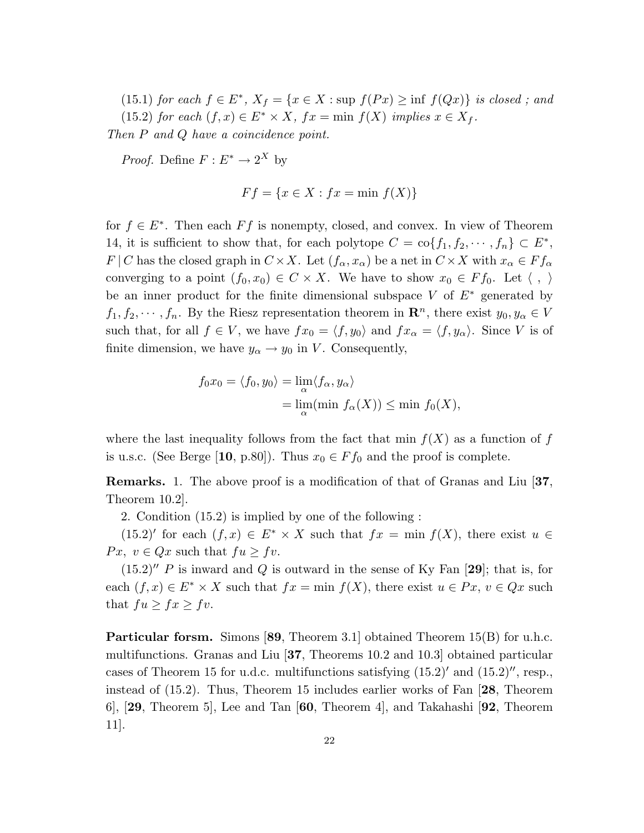(15.1) for each  $f \in E^*$ ,  $X_f = \{x \in X : \text{sup } f(Px) \geq \text{inf } f(Qx)\}\$ is closed; and (15.2) for each  $(f, x) \in E^* \times X$ ,  $fx = \min f(X)$  implies  $x \in X_f$ .

Then P and Q have a coincidence point.

*Proof.* Define  $F: E^* \to 2^X$  by

$$
Ff = \{x \in X : fx = \min f(X)\}\
$$

for  $f \in E^*$ . Then each  $Ff$  is nonempty, closed, and convex. In view of Theorem 14, it is sufficient to show that, for each polytope  $C = \text{co}\{f_1, f_2, \dots, f_n\} \subset E^*$ ,  $F | C$  has the closed graph in  $C \times X$ . Let  $(f_{\alpha}, x_{\alpha})$  be a net in  $C \times X$  with  $x_{\alpha} \in F f_{\alpha}$ converging to a point  $(f_0, x_0) \in C \times X$ . We have to show  $x_0 \in F f_0$ . Let  $\langle , \rangle$ be an inner product for the finite dimensional subspace V of  $E^*$  generated by  $f_1, f_2, \dots, f_n$ . By the Riesz representation theorem in  $\mathbb{R}^n$ , there exist  $y_0, y_\alpha \in V$ such that, for all  $f \in V$ , we have  $fx_0 = \langle f, y_0 \rangle$  and  $fx_\alpha = \langle f, y_\alpha \rangle$ . Since V is of finite dimension, we have  $y_{\alpha} \rightarrow y_0$  in V. Consequently,

$$
f_0 x_0 = \langle f_0, y_0 \rangle = \lim_{\alpha} \langle f_{\alpha}, y_{\alpha} \rangle
$$
  
= 
$$
\lim_{\alpha} (\min f_{\alpha}(X)) \le \min f_0(X),
$$

where the last inequality follows from the fact that min  $f(X)$  as a function of f is u.s.c. (See Berge [10, p.80]). Thus  $x_0 \in F f_0$  and the proof is complete.

Remarks. 1. The above proof is a modification of that of Granas and Liu [37, Theorem 10.2].

2. Condition (15.2) is implied by one of the following :

(15.2)' for each  $(f, x) \in E^* \times X$  such that  $fx = \min f(X)$ , there exist  $u \in$ Px,  $v \in Qx$  such that  $fu \ge fv$ .

 $(15.2)''$  P is inward and Q is outward in the sense of Ky Fan [29]; that is, for each  $(f, x) \in E^* \times X$  such that  $fx = \min f(X)$ , there exist  $u \in Px$ ,  $v \in Qx$  such that  $fu \geq fx \geq fv$ .

Particular forsm. Simons [89, Theorem 3.1] obtained Theorem 15(B) for u.h.c. multifunctions. Granas and Liu [37, Theorems 10.2 and 10.3] obtained particular cases of Theorem 15 for u.d.c. multifunctions satisfying  $(15.2)^\prime$  and  $(15.2)$ , resp., instead of (15.2). Thus, Theorem 15 includes earlier works of Fan [28, Theorem 6], [29, Theorem 5], Lee and Tan [60, Theorem 4], and Takahashi [92, Theorem 11].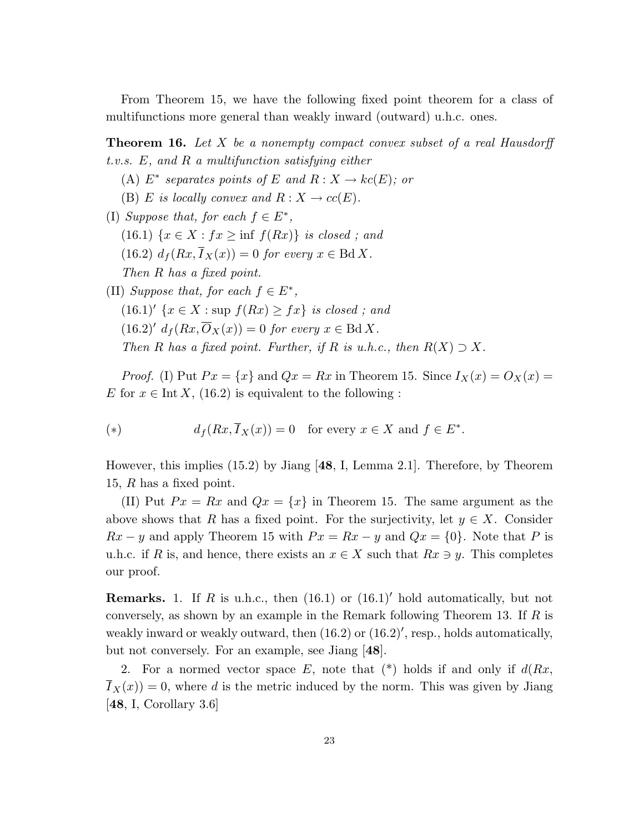From Theorem 15, we have the following fixed point theorem for a class of multifunctions more general than weakly inward (outward) u.h.c. ones.

**Theorem 16.** Let  $X$  be a nonempty compact convex subset of a real Hausdorff t.v.s. E, and R a multifunction satisfying either

- (A)  $E^*$  separates points of E and  $R: X \to kc(E)$ ; or
- (B) E is locally convex and  $R: X \to cc(E)$ .
- (I) Suppose that, for each  $f \in E^*$ , (16.1)  $\{x \in X : fx \ge \inf f(Rx)\}\$ is closed; and (16.2)  $d_f(Rx,\overline{I}_X(x)) = 0$  for every  $x \in \text{Bd } X$ . Then R has a fixed point.
- (II) Suppose that, for each  $f \in E^*$ ,  $(16.1)'$   $\{x \in X : \text{sup } f(Rx) \geq fx\}$  is closed; and  $(16.2)'$   $d_f(Rx, \overline{O}_X(x)) = 0$  for every  $x \in \text{Bd } X$ . Then R has a fixed point. Further, if R is u.h.c., then  $R(X) \supset X$ .

*Proof.* (I) Put  $Px = \{x\}$  and  $Qx = Rx$  in Theorem 15. Since  $I_X(x) = O_X(x)$ E for  $x \in \text{Int } X$ , (16.2) is equivalent to the following :

(\*) 
$$
d_f(Rx, \overline{I}_X(x)) = 0
$$
 for every  $x \in X$  and  $f \in E^*$ .

However, this implies (15.2) by Jiang [48, I, Lemma 2.1]. Therefore, by Theorem 15,  $R$  has a fixed point.

(II) Put  $Px = Rx$  and  $Qx = \{x\}$  in Theorem 15. The same argument as the above shows that R has a fixed point. For the surjectivity, let  $y \in X$ . Consider  $Rx - y$  and apply Theorem 15 with  $Px = Rx - y$  and  $Qx = \{0\}$ . Note that P is u.h.c. if R is, and hence, there exists an  $x \in X$  such that  $Rx \ni y$ . This completes our proof.

**Remarks.** 1. If R is u.h.c., then  $(16.1)$  or  $(16.1)'$  hold automatically, but not conversely, as shown by an example in the Remark following Theorem 13. If  $R$  is weakly inward or weakly outward, then  $(16.2)$  or  $(16.2)'$ , resp., holds automatically, but not conversely. For an example, see Jiang [48].

2. For a normed vector space E, note that  $(*)$  holds if and only if  $d(Rx,$  $I_X(x) = 0$ , where d is the metric induced by the norm. This was given by Jiang [48, I, Corollary 3.6]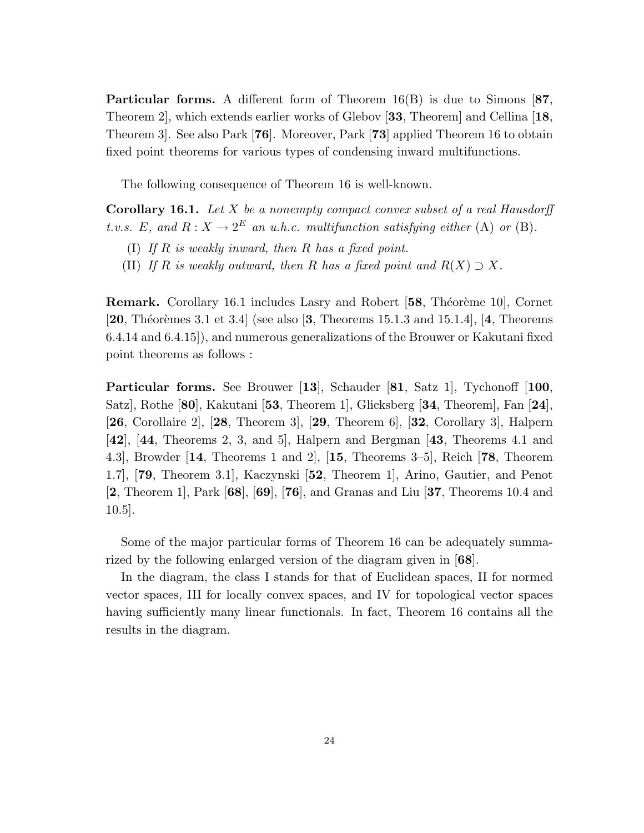Particular forms. A different form of Theorem 16(B) is due to Simons [87, Theorem 2], which extends earlier works of Glebov [33, Theorem] and Cellina [18, Theorem 3]. See also Park [76]. Moreover, Park [73] applied Theorem 16 to obtain fixed point theorems for various types of condensing inward multifunctions.

The following consequence of Theorem 16 is well-known.

**Corollary 16.1.** Let  $X$  be a nonempty compact convex subset of a real Hausdorff t.v.s. E, and  $R: X \to 2^E$  an u.h.c. multifunction satisfying either (A) or (B).

- (I) If  $R$  is weakly inward, then  $R$  has a fixed point.
- (II) If R is weakly outward, then R has a fixed point and  $R(X) \supset X$ .

**Remark.** Corollary 16.1 includes Lasry and Robert [58, Théorème 10], Cornet [20, Théorèmes 3.1 et 3.4] (see also [3, Theorems 15.1.3 and 15.1.4], [4, Theorems 6.4.14 and 6.4.15]), and numerous generalizations of the Brouwer or Kakutani fixed point theorems as follows :

Particular forms. See Brouwer [13], Schauder [81, Satz 1], Tychonoff [100, Satz], Rothe [80], Kakutani [53, Theorem 1], Glicksberg [34, Theorem], Fan [24], [26, Corollaire 2], [28, Theorem 3], [29, Theorem 6], [32, Corollary 3], Halpern [42], [44, Theorems 2, 3, and 5], Halpern and Bergman [43, Theorems 4.1 and 4.3], Browder [14, Theorems 1 and 2], [15, Theorems 3–5], Reich [78, Theorem 1.7], [79, Theorem 3.1], Kaczynski [52, Theorem 1], Arino, Gautier, and Penot [2, Theorem 1], Park [68], [69], [76], and Granas and Liu [37, Theorems 10.4 and 10.5].

Some of the major particular forms of Theorem 16 can be adequately summarized by the following enlarged version of the diagram given in [68].

In the diagram, the class I stands for that of Euclidean spaces, II for normed vector spaces, III for locally convex spaces, and IV for topological vector spaces having sufficiently many linear functionals. In fact, Theorem 16 contains all the results in the diagram.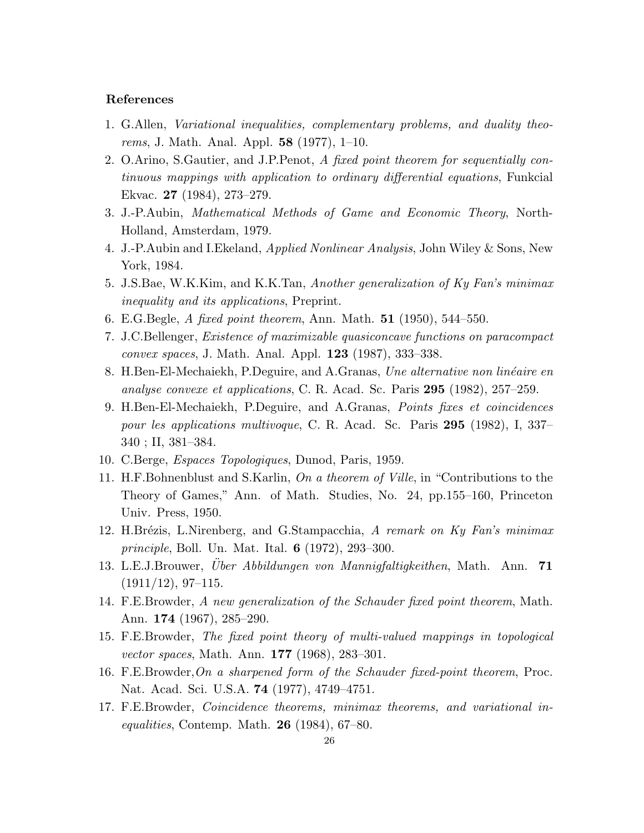#### References

- 1. G.Allen, Variational inequalities, complementary problems, and duality theorems, J. Math. Anal. Appl. 58 (1977), 1–10.
- 2. O.Arino, S.Gautier, and J.P.Penot, A fixed point theorem for sequentially continuous mappings with application to ordinary differential equations, Funkcial Ekvac. 27 (1984), 273–279.
- 3. J.-P.Aubin, Mathematical Methods of Game and Economic Theory, North-Holland, Amsterdam, 1979.
- 4. J.-P. Aubin and I. Ekeland, *Applied Nonlinear Analysis*, John Wiley & Sons, New York, 1984.
- 5. J.S.Bae, W.K.Kim, and K.K.Tan, Another generalization of Ky Fan's minimax inequality and its applications, Preprint.
- 6. E.G.Begle, A fixed point theorem, Ann. Math. 51 (1950), 544–550.
- 7. J.C.Bellenger, Existence of maximizable quasiconcave functions on paracompact convex spaces, J. Math. Anal. Appl. 123 (1987), 333–338.
- 8. H.Ben-El-Mechaiekh, P.Deguire, and A.Granas, Une alternative non linéaire en analyse convexe et applications, C. R. Acad. Sc. Paris 295 (1982), 257–259.
- 9. H.Ben-El-Mechaiekh, P.Deguire, and A.Granas, Points fixes et coincidences pour les applications multivoque, C. R. Acad. Sc. Paris 295 (1982), I, 337– 340 ; II, 381–384.
- 10. C.Berge, Espaces Topologiques, Dunod, Paris, 1959.
- 11. H.F.Bohnenblust and S.Karlin, On a theorem of Ville, in "Contributions to the Theory of Games," Ann. of Math. Studies, No. 24, pp.155–160, Princeton Univ. Press, 1950.
- 12. H.Brézis, L.Nirenberg, and G.Stampacchia, A remark on Ky Fan's minimax principle, Boll. Un. Mat. Ital. 6 (1972), 293–300.
- 13. L.E.J.Brouwer, Über Abbildungen von Mannigfaltigkeithen, Math. Ann.  $71$  $(1911/12), 97-115.$
- 14. F.E.Browder, A new generalization of the Schauder fixed point theorem, Math. Ann. 174 (1967), 285–290.
- 15. F.E.Browder, The fixed point theory of multi-valued mappings in topological vector spaces, Math. Ann. 177 (1968), 283–301.
- 16. F.E.Browder,On a sharpened form of the Schauder fixed-point theorem, Proc. Nat. Acad. Sci. U.S.A. 74 (1977), 4749–4751.
- 17. F.E.Browder, Coincidence theorems, minimax theorems, and variational inequalities, Contemp. Math.  $26$  (1984), 67–80.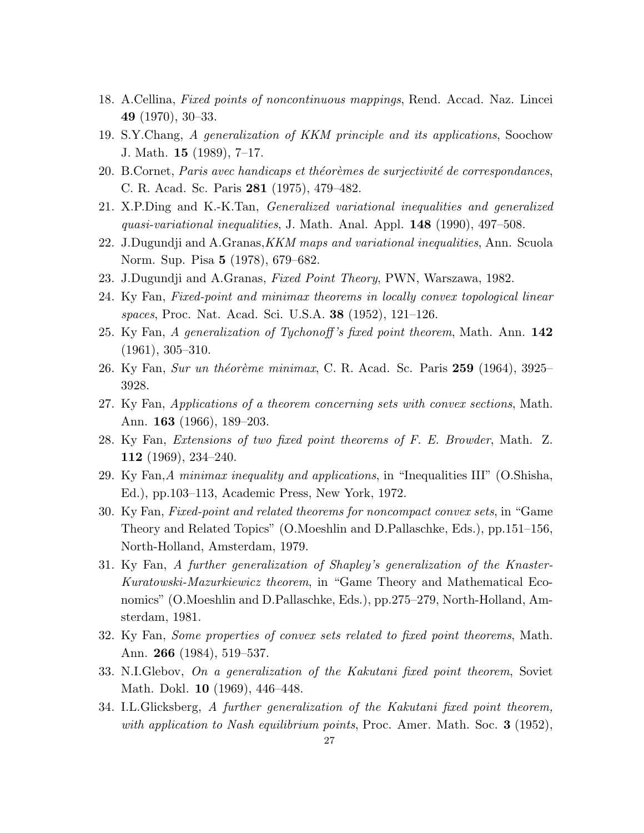- 18. A.Cellina, Fixed points of noncontinuous mappings, Rend. Accad. Naz. Lincei 49 (1970), 30–33.
- 19. S.Y.Chang, A generalization of KKM principle and its applications, Soochow J. Math. 15 (1989), 7–17.
- 20. B.Cornet, Paris avec handicaps et théorèmes de surjectivité de correspondances, C. R. Acad. Sc. Paris 281 (1975), 479–482.
- 21. X.P.Ding and K.-K.Tan, Generalized variational inequalities and generalized quasi-variational inequalities, J. Math. Anal. Appl.  $148$  (1990), 497–508.
- 22. J.Dugundji and A.Granas, KKM maps and variational inequalities, Ann. Scuola Norm. Sup. Pisa 5 (1978), 679–682.
- 23. J.Dugundji and A.Granas, Fixed Point Theory, PWN, Warszawa, 1982.
- 24. Ky Fan, Fixed-point and minimax theorems in locally convex topological linear spaces, Proc. Nat. Acad. Sci. U.S.A. 38 (1952), 121–126.
- 25. Ky Fan, A generalization of Tychonoff's fixed point theorem, Math. Ann. 142 (1961), 305–310.
- 26. Ky Fan, Sur un théorème minimax, C. R. Acad. Sc. Paris  $259$  (1964), 3925– 3928.
- 27. Ky Fan, Applications of a theorem concerning sets with convex sections, Math. Ann. 163 (1966), 189–203.
- 28. Ky Fan, Extensions of two fixed point theorems of F. E. Browder, Math. Z. 112 (1969), 234–240.
- 29. Ky Fan,A minimax inequality and applications, in "Inequalities III" (O.Shisha, Ed.), pp.103–113, Academic Press, New York, 1972.
- 30. Ky Fan, Fixed-point and related theorems for noncompact convex sets, in "Game Theory and Related Topics" (O.Moeshlin and D.Pallaschke, Eds.), pp.151–156, North-Holland, Amsterdam, 1979.
- 31. Ky Fan, A further generalization of Shapley's generalization of the Knaster-Kuratowski-Mazurkiewicz theorem, in "Game Theory and Mathematical Economics" (O.Moeshlin and D.Pallaschke, Eds.), pp.275–279, North-Holland, Amsterdam, 1981.
- 32. Ky Fan, Some properties of convex sets related to fixed point theorems, Math. Ann. 266 (1984), 519–537.
- 33. N.I.Glebov, On a generalization of the Kakutani fixed point theorem, Soviet Math. Dokl. 10 (1969), 446–448.
- 34. I.L.Glicksberg, A further generalization of the Kakutani fixed point theorem, with application to Nash equilibrium points, Proc. Amer. Math. Soc.  $3$  (1952),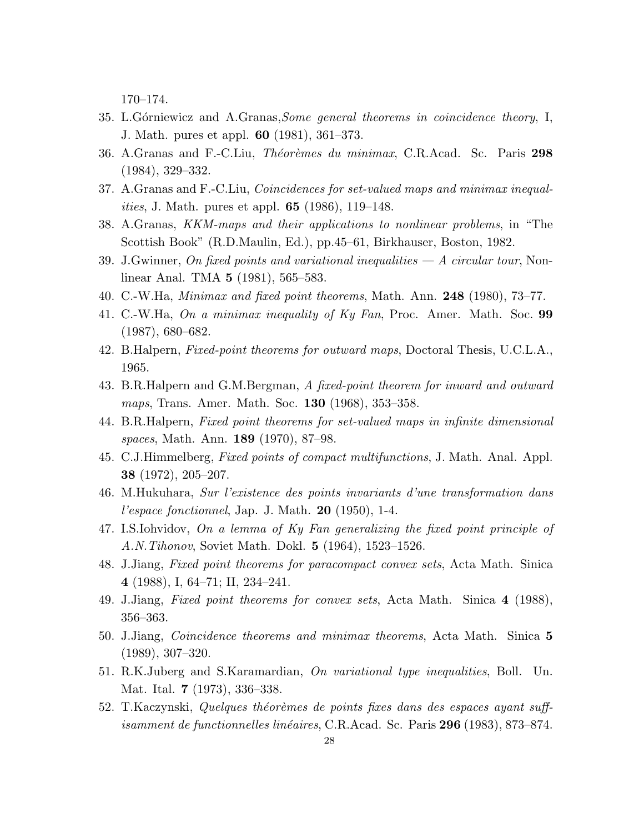170–174.

- 35. L.G $\acute{o}$ crniewicz and A.Granas, *Some general theorems in coincidence theory*, I, J. Math. pures et appl. 60 (1981), 361–373.
- 36. A.Granas and F.-C.Liu, *Théorèmes du minimax*, C.R.Acad. Sc. Paris 298 (1984), 329–332.
- 37. A.Granas and F.-C.Liu, Coincidences for set-valued maps and minimax inequal*ities*, J. Math. pures et appl. **65** (1986), 119–148.
- 38. A.Granas, KKM-maps and their applications to nonlinear problems, in "The Scottish Book" (R.D.Maulin, Ed.), pp.45–61, Birkhauser, Boston, 1982.
- 39. J.Gwinner, On fixed points and variational inequalities  $-A$  circular tour, Nonlinear Anal. TMA 5 (1981), 565–583.
- 40. C.-W.Ha, *Minimax and fixed point theorems*, Math. Ann.  $248$  (1980), 73–77.
- 41. C.-W.Ha, On a minimax inequality of Ky Fan, Proc. Amer. Math. Soc.  $99$ (1987), 680–682.
- 42. B.Halpern, Fixed-point theorems for outward maps, Doctoral Thesis, U.C.L.A., 1965.
- 43. B.R.Halpern and G.M.Bergman, A fixed-point theorem for inward and outward maps, Trans. Amer. Math. Soc. **130** (1968), 353–358.
- 44. B.R.Halpern, Fixed point theorems for set-valued maps in infinite dimensional spaces, Math. Ann. **189** (1970), 87–98.
- 45. C.J.Himmelberg, Fixed points of compact multifunctions, J. Math. Anal. Appl. 38 (1972), 205–207.
- 46. M.Hukuhara, Sur l'existence des points invariants d'une transformation dans l'espace fonctionnel, Jap. J. Math.  $20$  (1950), 1-4.
- 47. I.S.Iohvidov, On a lemma of Ky Fan generalizing the fixed point principle of A.N.Tihonov, Soviet Math. Dokl. 5 (1964), 1523–1526.
- 48. J.Jiang, Fixed point theorems for paracompact convex sets, Acta Math. Sinica 4 (1988), I, 64–71; II, 234–241.
- 49. J.Jiang, Fixed point theorems for convex sets, Acta Math. Sinica 4 (1988), 356–363.
- 50. J.Jiang, Coincidence theorems and minimax theorems, Acta Math. Sinica 5 (1989), 307–320.
- 51. R.K.Juberg and S.Karamardian, On variational type inequalities, Boll. Un. Mat. Ital. 7 (1973), 336–338.
- 52. T.Kaczynski, Quelques théorèmes de points fixes dans des espaces ayant suff*isamment de functionnelles linéaires*, C.R.Acad. Sc. Paris  $296$  (1983), 873–874.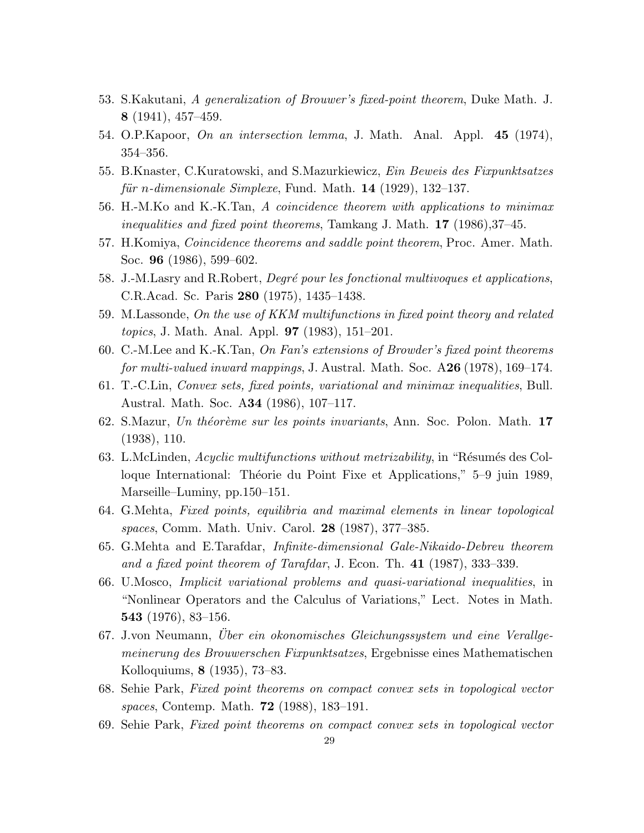- 53. S.Kakutani, A generalization of Brouwer's fixed-point theorem, Duke Math. J. 8 (1941), 457–459.
- 54. O.P.Kapoor, On an intersection lemma, J. Math. Anal. Appl. 45 (1974), 354–356.
- 55. B.Knaster, C.Kuratowski, and S.Mazurkiewicz, Ein Beweis des Fixpunktsatzes für n-dimensionale Simplexe, Fund. Math.  $14$  (1929), 132–137.
- 56. H.-M.Ko and K.-K.Tan, A coincidence theorem with applications to minimax inequalities and fixed point theorems, Tamkang J. Math. 17 (1986),37–45.
- 57. H.Komiya, Coincidence theorems and saddle point theorem, Proc. Amer. Math. Soc. 96 (1986), 599–602.
- 58. J.-M.Lasry and R.Robert, *Degré pour les fonctional multivoques et applications*, C.R.Acad. Sc. Paris 280 (1975), 1435–1438.
- 59. M.Lassonde, On the use of KKM multifunctions in fixed point theory and related topics, J. Math. Anal. Appl. 97 (1983), 151–201.
- 60. C.-M.Lee and K.-K.Tan, On Fan's extensions of Browder's fixed point theorems for multi-valued inward mappings, J. Austral. Math. Soc. A26 (1978), 169–174.
- 61. T.-C.Lin, Convex sets, fixed points, variational and minimax inequalities, Bull. Austral. Math. Soc. A34 (1986), 107–117.
- 62. S.Mazur, Un théorème sur les points invariants, Ann. Soc. Polon. Math. 17 (1938), 110.
- 63. L.McLinden, Acyclic multifunctions without metrizability, in "Résumés des Colloque International: Théorie du Point Fixe et Applications," 5–9 juin 1989, Marseille–Luminy, pp.150–151.
- 64. G.Mehta, Fixed points, equilibria and maximal elements in linear topological spaces, Comm. Math. Univ. Carol. 28 (1987), 377–385.
- 65. G.Mehta and E.Tarafdar, Infinite-dimensional Gale-Nikaido-Debreu theorem and a fixed point theorem of Tarafdar, J. Econ. Th. 41 (1987), 333–339.
- 66. U.Mosco, Implicit variational problems and quasi-variational inequalities, in "Nonlinear Operators and the Calculus of Variations," Lect. Notes in Math. 543 (1976), 83–156.
- 67. J.von Neumann, Uber ein okonomisches Gleichungssystem und eine Verallgemeinerung des Brouwerschen Fixpunktsatzes, Ergebnisse eines Mathematischen Kolloquiums, 8 (1935), 73–83.
- 68. Sehie Park, Fixed point theorems on compact convex sets in topological vector spaces, Contemp. Math. 72 (1988), 183–191.
- 69. Sehie Park, Fixed point theorems on compact convex sets in topological vector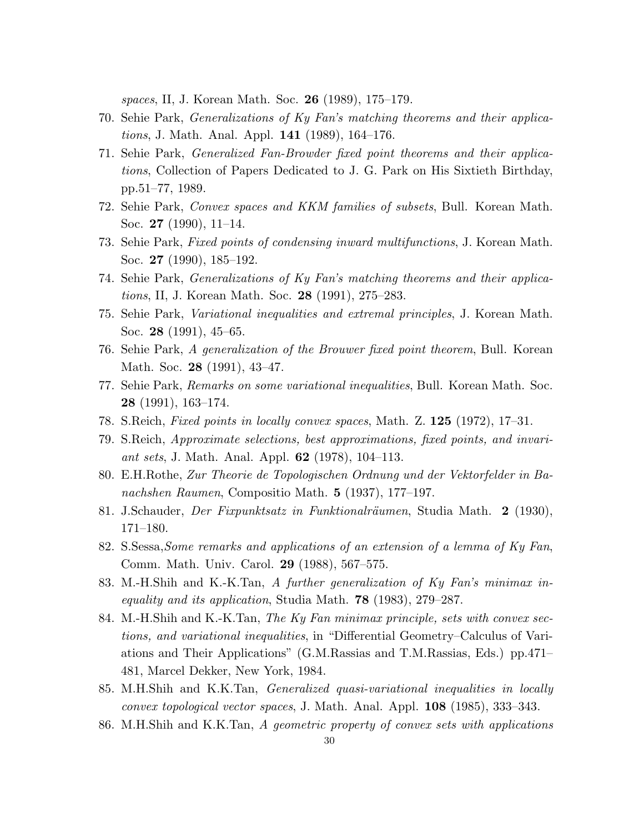spaces, II, J. Korean Math. Soc. 26 (1989), 175–179.

- 70. Sehie Park, Generalizations of Ky Fan's matching theorems and their applications, J. Math. Anal. Appl. 141 (1989), 164–176.
- 71. Sehie Park, Generalized Fan-Browder fixed point theorems and their applications, Collection of Papers Dedicated to J. G. Park on His Sixtieth Birthday, pp.51–77, 1989.
- 72. Sehie Park, Convex spaces and KKM families of subsets, Bull. Korean Math. Soc. 27 (1990), 11–14.
- 73. Sehie Park, Fixed points of condensing inward multifunctions, J. Korean Math. Soc. 27 (1990), 185–192.
- 74. Sehie Park, Generalizations of Ky Fan's matching theorems and their applications, II, J. Korean Math. Soc. 28 (1991), 275–283.
- 75. Sehie Park, Variational inequalities and extremal principles, J. Korean Math. Soc. 28 (1991), 45–65.
- 76. Sehie Park, A generalization of the Brouwer fixed point theorem, Bull. Korean Math. Soc. **28** (1991), 43-47.
- 77. Sehie Park, Remarks on some variational inequalities, Bull. Korean Math. Soc. 28 (1991), 163–174.
- 78. S.Reich, Fixed points in locally convex spaces, Math. Z. 125 (1972), 17–31.
- 79. S.Reich, Approximate selections, best approximations, fixed points, and invariant sets, J. Math. Anal. Appl. **62** (1978), 104–113.
- 80. E.H.Rothe, Zur Theorie de Topologischen Ordnung und der Vektorfelder in Banachshen Raumen, Compositio Math. 5 (1937), 177–197.
- 81. J.Schauder, Der Fixpunktsatz in Funktionalräumen, Studia Math. 2 (1930), 171–180.
- 82. S.Sessa,Some remarks and applications of an extension of a lemma of Ky Fan, Comm. Math. Univ. Carol. 29 (1988), 567–575.
- 83. M.-H.Shih and K.-K.Tan, A further generalization of Ky Fan's minimax inequality and its application, Studia Math.  $78$  (1983), 279–287.
- 84. M.-H.Shih and K.-K.Tan, The Ky Fan minimax principle, sets with convex sections, and variational inequalities, in "Differential Geometry–Calculus of Variations and Their Applications" (G.M.Rassias and T.M.Rassias, Eds.) pp.471– 481, Marcel Dekker, New York, 1984.
- 85. M.H.Shih and K.K.Tan, Generalized quasi-variational inequalities in locally convex topological vector spaces, J. Math. Anal. Appl. 108 (1985), 333–343.
- 86. M.H.Shih and K.K.Tan, A geometric property of convex sets with applications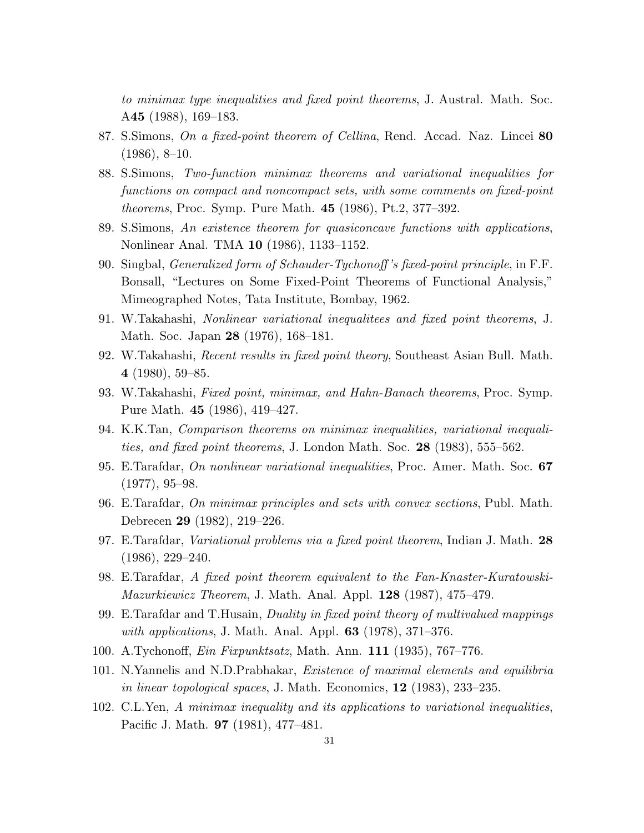to minimax type inequalities and fixed point theorems, J. Austral. Math. Soc. A45 (1988), 169–183.

- 87. S.Simons, On a fixed-point theorem of Cellina, Rend. Accad. Naz. Lincei 80  $(1986), 8-10.$
- 88. S.Simons, Two-function minimax theorems and variational inequalities for functions on compact and noncompact sets, with some comments on fixed-point theorems, Proc. Symp. Pure Math. 45 (1986), Pt.2, 377–392.
- 89. S.Simons, An existence theorem for quasiconcave functions with applications, Nonlinear Anal. TMA 10 (1986), 1133–1152.
- 90. Singbal, Generalized form of Schauder-Tychonoff 's fixed-point principle, in F.F. Bonsall, "Lectures on Some Fixed-Point Theorems of Functional Analysis," Mimeographed Notes, Tata Institute, Bombay, 1962.
- 91. W.Takahashi, Nonlinear variational inequalitees and fixed point theorems, J. Math. Soc. Japan 28 (1976), 168–181.
- 92. W.Takahashi, Recent results in fixed point theory, Southeast Asian Bull. Math. 4 (1980), 59–85.
- 93. W.Takahashi, Fixed point, minimax, and Hahn-Banach theorems, Proc. Symp. Pure Math. 45 (1986), 419–427.
- 94. K.K.Tan, Comparison theorems on minimax inequalities, variational inequalities, and fixed point theorems, J. London Math. Soc. 28 (1983), 555–562.
- 95. E.Tarafdar, On nonlinear variational inequalities, Proc. Amer. Math. Soc. 67 (1977), 95–98.
- 96. E.Tarafdar, On minimax principles and sets with convex sections, Publ. Math. Debrecen 29 (1982), 219–226.
- 97. E.Tarafdar, Variational problems via a fixed point theorem, Indian J. Math. 28 (1986), 229–240.
- 98. E.Tarafdar, A fixed point theorem equivalent to the Fan-Knaster-Kuratowski-Mazurkiewicz Theorem, J. Math. Anal. Appl. 128 (1987), 475–479.
- 99. E.Tarafdar and T.Husain, Duality in fixed point theory of multivalued mappings *with applications*, J. Math. Anal. Appl.  $63$  (1978), 371–376.
- 100. A.Tychonoff, Ein Fixpunktsatz, Math. Ann. 111 (1935), 767–776.
- 101. N.Yannelis and N.D.Prabhakar, Existence of maximal elements and equilibria in linear topological spaces, J. Math. Economics,  $12$  (1983), 233–235.
- 102. C.L.Yen, A minimax inequality and its applications to variational inequalities, Pacific J. Math. 97 (1981), 477–481.